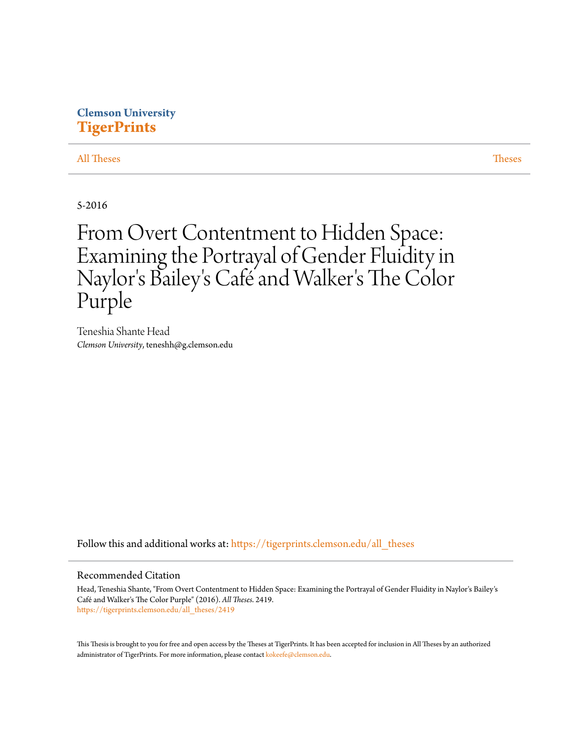## **Clemson University [TigerPrints](https://tigerprints.clemson.edu?utm_source=tigerprints.clemson.edu%2Fall_theses%2F2419&utm_medium=PDF&utm_campaign=PDFCoverPages)**

[All Theses](https://tigerprints.clemson.edu/all_theses?utm_source=tigerprints.clemson.edu%2Fall_theses%2F2419&utm_medium=PDF&utm_campaign=PDFCoverPages) **[Theses](https://tigerprints.clemson.edu/theses?utm_source=tigerprints.clemson.edu%2Fall_theses%2F2419&utm_medium=PDF&utm_campaign=PDFCoverPages)** 

5-2016

# From Overt Contentment to Hidden Space: Examining the Portrayal of Gender Fluidity in Naylor's Bailey 's Café and Walker 's The Color Purple

Teneshia Shante Head *Clemson University*, teneshh@g.clemson.edu

Follow this and additional works at: [https://tigerprints.clemson.edu/all\\_theses](https://tigerprints.clemson.edu/all_theses?utm_source=tigerprints.clemson.edu%2Fall_theses%2F2419&utm_medium=PDF&utm_campaign=PDFCoverPages)

### Recommended Citation

Head, Teneshia Shante, "From Overt Contentment to Hidden Space: Examining the Portrayal of Gender Fluidity in Naylor's Bailey's Café and Walker's The Color Purple" (2016). *All Theses*. 2419. [https://tigerprints.clemson.edu/all\\_theses/2419](https://tigerprints.clemson.edu/all_theses/2419?utm_source=tigerprints.clemson.edu%2Fall_theses%2F2419&utm_medium=PDF&utm_campaign=PDFCoverPages)

This Thesis is brought to you for free and open access by the Theses at TigerPrints. It has been accepted for inclusion in All Theses by an authorized administrator of TigerPrints. For more information, please contact [kokeefe@clemson.edu](mailto:kokeefe@clemson.edu).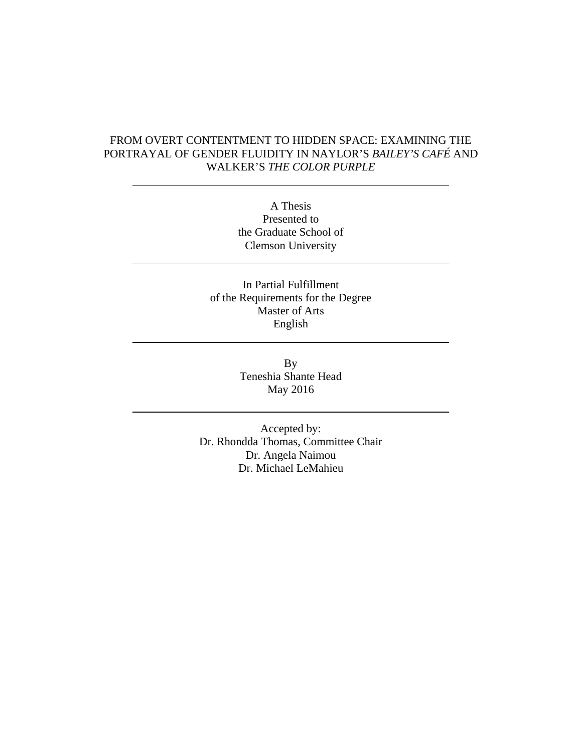### FROM OVERT CONTENTMENT TO HIDDEN SPACE: EXAMINING THE PORTRAYAL OF GENDER FLUIDITY IN NAYLOR'S *BAILEY'S CAFÉ* AND WALKER'S *THE COLOR PURPLE*

A Thesis Presented to the Graduate School of Clemson University

In Partial Fulfillment of the Requirements for the Degree Master of Arts English

> By Teneshia Shante Head May 2016

Accepted by: Dr. Rhondda Thomas, Committee Chair Dr. Angela Naimou Dr. Michael LeMahieu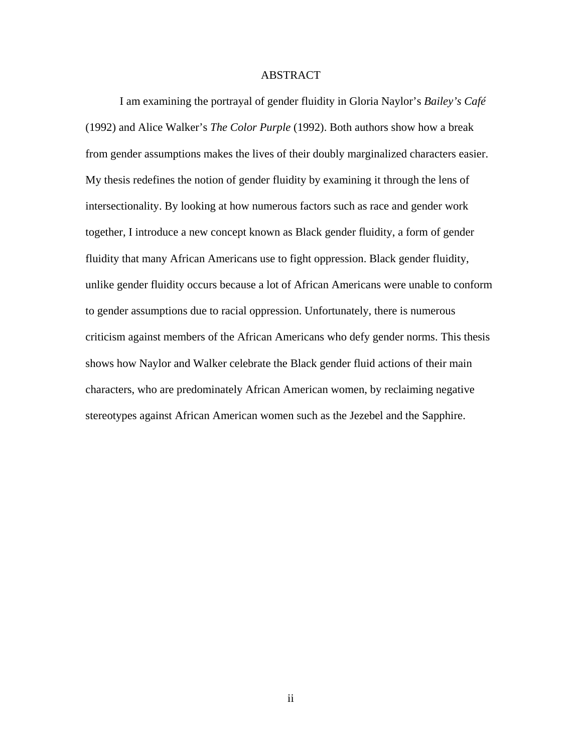### ABSTRACT

I am examining the portrayal of gender fluidity in Gloria Naylor's *Bailey's Café* (1992) and Alice Walker's *The Color Purple* (1992). Both authors show how a break from gender assumptions makes the lives of their doubly marginalized characters easier. My thesis redefines the notion of gender fluidity by examining it through the lens of intersectionality. By looking at how numerous factors such as race and gender work together, I introduce a new concept known as Black gender fluidity, a form of gender fluidity that many African Americans use to fight oppression. Black gender fluidity, unlike gender fluidity occurs because a lot of African Americans were unable to conform to gender assumptions due to racial oppression. Unfortunately, there is numerous criticism against members of the African Americans who defy gender norms. This thesis shows how Naylor and Walker celebrate the Black gender fluid actions of their main characters, who are predominately African American women, by reclaiming negative stereotypes against African American women such as the Jezebel and the Sapphire.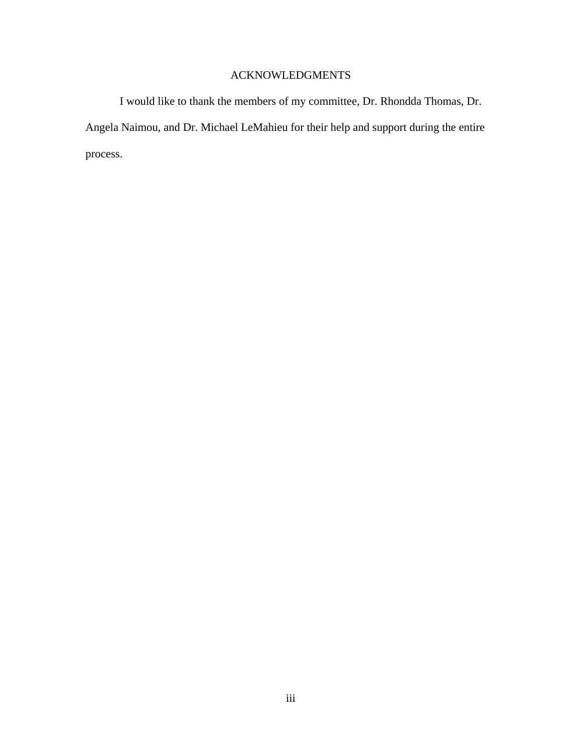## ACKNOWLEDGMENTS

I would like to thank the members of my committee, Dr. Rhondda Thomas, Dr. Angela Naimou, and Dr. Michael LeMahieu for their help and support during the entire process.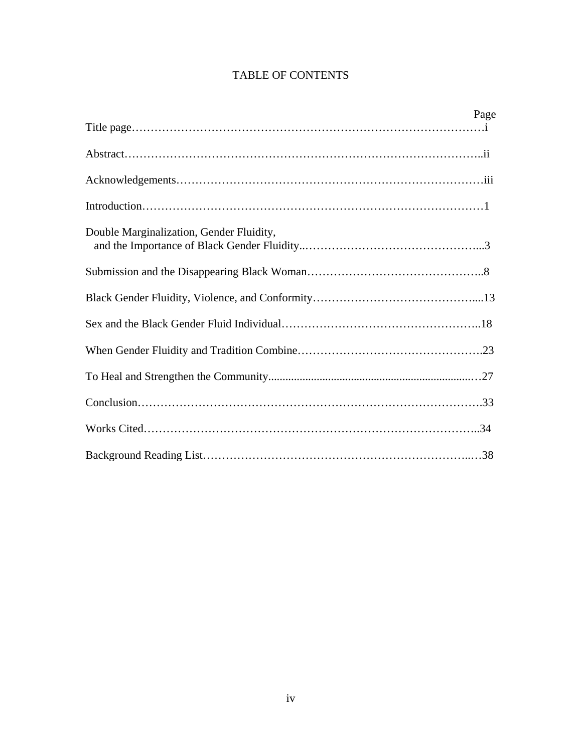## TABLE OF CONTENTS

|                                          | Page |
|------------------------------------------|------|
|                                          |      |
|                                          |      |
|                                          |      |
|                                          |      |
| Double Marginalization, Gender Fluidity, |      |
|                                          |      |
|                                          |      |
|                                          |      |
|                                          |      |
|                                          |      |
|                                          |      |
|                                          |      |
|                                          |      |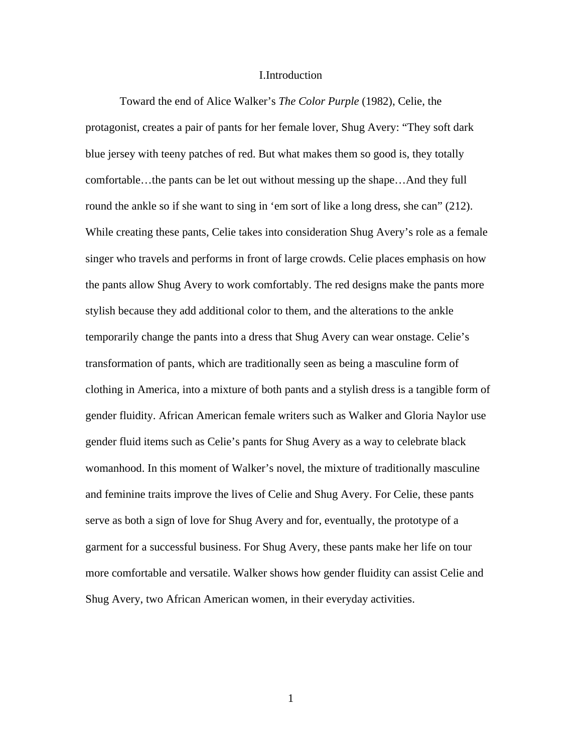### I.Introduction

Toward the end of Alice Walker's *The Color Purple* (1982), Celie, the protagonist, creates a pair of pants for her female lover, Shug Avery: "They soft dark blue jersey with teeny patches of red. But what makes them so good is, they totally comfortable…the pants can be let out without messing up the shape…And they full round the ankle so if she want to sing in 'em sort of like a long dress, she can'' (212). While creating these pants, Celie takes into consideration Shug Avery's role as a female singer who travels and performs in front of large crowds. Celie places emphasis on how the pants allow Shug Avery to work comfortably. The red designs make the pants more stylish because they add additional color to them, and the alterations to the ankle temporarily change the pants into a dress that Shug Avery can wear onstage. Celie's transformation of pants, which are traditionally seen as being a masculine form of clothing in America, into a mixture of both pants and a stylish dress is a tangible form of gender fluidity. African American female writers such as Walker and Gloria Naylor use gender fluid items such as Celie's pants for Shug Avery as a way to celebrate black womanhood. In this moment of Walker's novel, the mixture of traditionally masculine and feminine traits improve the lives of Celie and Shug Avery. For Celie, these pants serve as both a sign of love for Shug Avery and for, eventually, the prototype of a garment for a successful business. For Shug Avery, these pants make her life on tour more comfortable and versatile. Walker shows how gender fluidity can assist Celie and Shug Avery, two African American women, in their everyday activities.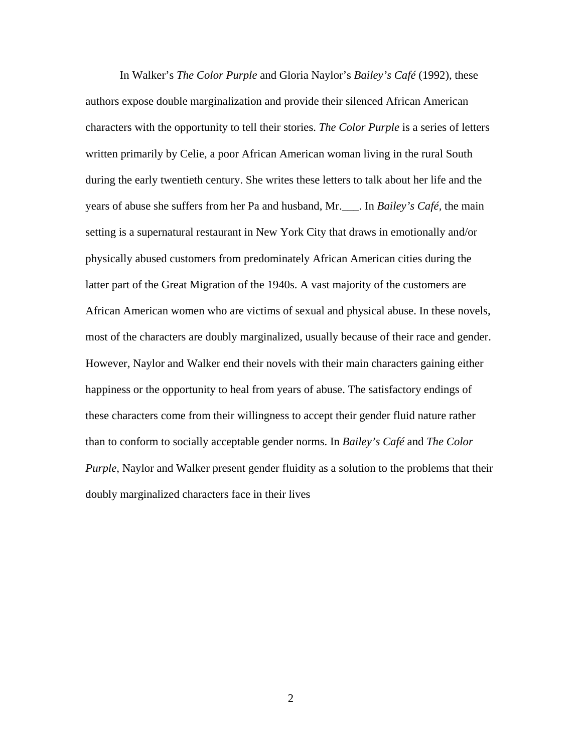In Walker's *The Color Purple* and Gloria Naylor's *Bailey's Café* (1992), these authors expose double marginalization and provide their silenced African American characters with the opportunity to tell their stories. *The Color Purple* is a series of letters written primarily by Celie, a poor African American woman living in the rural South during the early twentieth century. She writes these letters to talk about her life and the years of abuse she suffers from her Pa and husband, Mr.\_\_\_. In *Bailey's Café,* the main setting is a supernatural restaurant in New York City that draws in emotionally and/or physically abused customers from predominately African American cities during the latter part of the Great Migration of the 1940s. A vast majority of the customers are African American women who are victims of sexual and physical abuse. In these novels, most of the characters are doubly marginalized, usually because of their race and gender. However, Naylor and Walker end their novels with their main characters gaining either happiness or the opportunity to heal from years of abuse. The satisfactory endings of these characters come from their willingness to accept their gender fluid nature rather than to conform to socially acceptable gender norms. In *Bailey's Café* and *The Color Purple*, Naylor and Walker present gender fluidity as a solution to the problems that their doubly marginalized characters face in their lives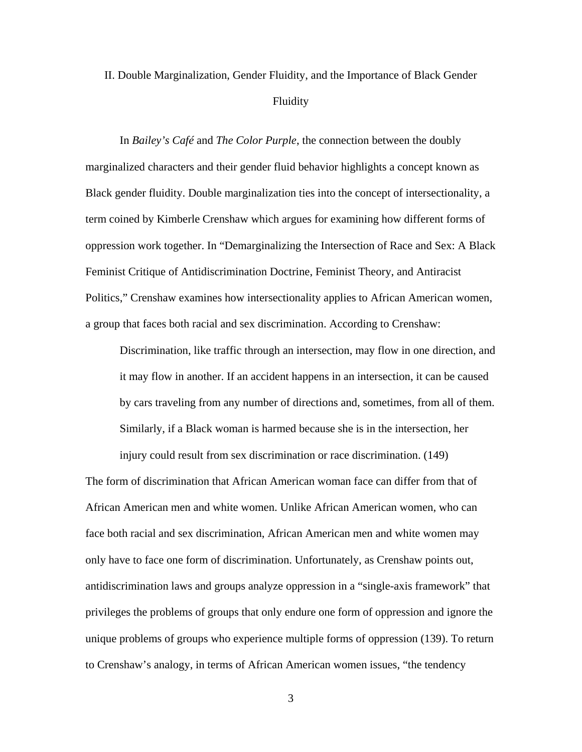## II. Double Marginalization, Gender Fluidity, and the Importance of Black Gender Fluidity

In *Bailey's Café* and *The Color Purple*, the connection between the doubly marginalized characters and their gender fluid behavior highlights a concept known as Black gender fluidity. Double marginalization ties into the concept of intersectionality, a term coined by Kimberle Crenshaw which argues for examining how different forms of oppression work together. In "Demarginalizing the Intersection of Race and Sex: A Black Feminist Critique of Antidiscrimination Doctrine, Feminist Theory, and Antiracist Politics," Crenshaw examines how intersectionality applies to African American women, a group that faces both racial and sex discrimination. According to Crenshaw:

Discrimination, like traffic through an intersection, may flow in one direction, and it may flow in another. If an accident happens in an intersection, it can be caused by cars traveling from any number of directions and, sometimes, from all of them. Similarly, if a Black woman is harmed because she is in the intersection, her injury could result from sex discrimination or race discrimination. (149)

The form of discrimination that African American woman face can differ from that of African American men and white women. Unlike African American women, who can face both racial and sex discrimination, African American men and white women may only have to face one form of discrimination. Unfortunately, as Crenshaw points out, antidiscrimination laws and groups analyze oppression in a "single-axis framework" that privileges the problems of groups that only endure one form of oppression and ignore the unique problems of groups who experience multiple forms of oppression (139). To return to Crenshaw's analogy, in terms of African American women issues, "the tendency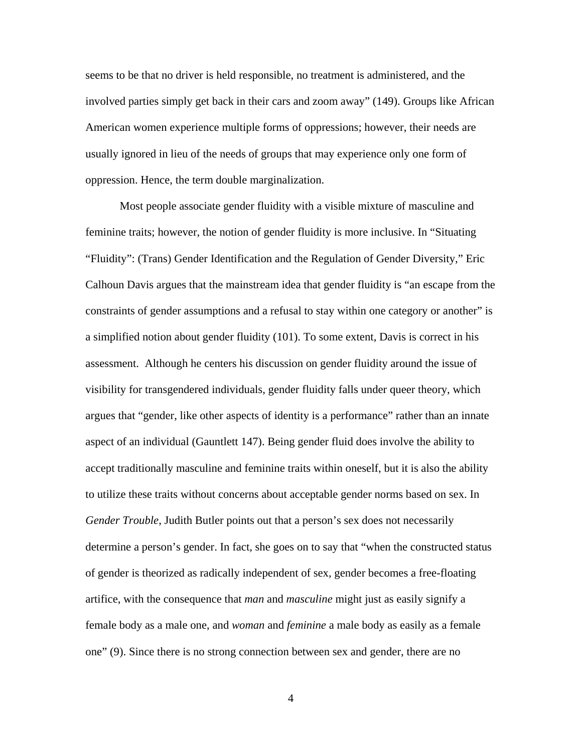seems to be that no driver is held responsible, no treatment is administered, and the involved parties simply get back in their cars and zoom away" (149). Groups like African American women experience multiple forms of oppressions; however, their needs are usually ignored in lieu of the needs of groups that may experience only one form of oppression. Hence, the term double marginalization.

Most people associate gender fluidity with a visible mixture of masculine and feminine traits; however, the notion of gender fluidity is more inclusive. In "Situating "Fluidity": (Trans) Gender Identification and the Regulation of Gender Diversity," Eric Calhoun Davis argues that the mainstream idea that gender fluidity is "an escape from the constraints of gender assumptions and a refusal to stay within one category or another" is a simplified notion about gender fluidity (101). To some extent, Davis is correct in his assessment. Although he centers his discussion on gender fluidity around the issue of visibility for transgendered individuals, gender fluidity falls under queer theory, which argues that "gender, like other aspects of identity is a performance" rather than an innate aspect of an individual (Gauntlett 147). Being gender fluid does involve the ability to accept traditionally masculine and feminine traits within oneself, but it is also the ability to utilize these traits without concerns about acceptable gender norms based on sex. In *Gender Trouble*, Judith Butler points out that a person's sex does not necessarily determine a person's gender. In fact, she goes on to say that "when the constructed status of gender is theorized as radically independent of sex, gender becomes a free-floating artifice, with the consequence that *man* and *masculine* might just as easily signify a female body as a male one, and *woman* and *feminine* a male body as easily as a female one" (9). Since there is no strong connection between sex and gender, there are no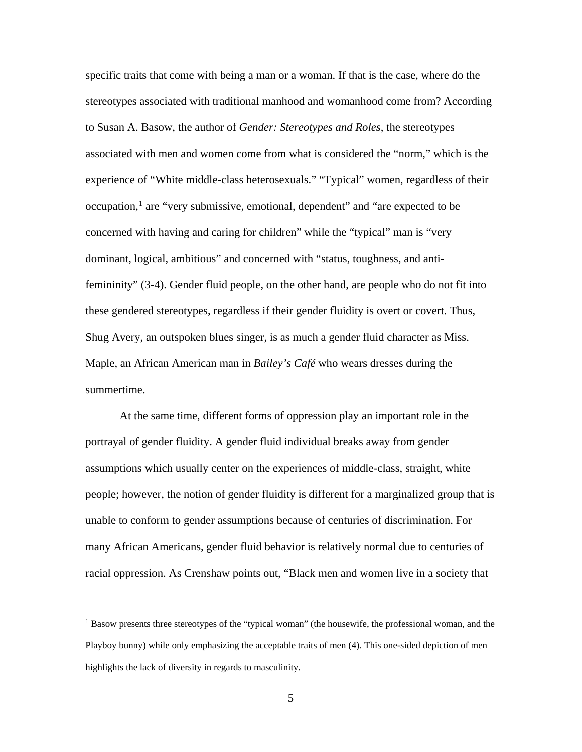specific traits that come with being a man or a woman. If that is the case, where do the stereotypes associated with traditional manhood and womanhood come from? According to Susan A. Basow, the author of *Gender: Stereotypes and Roles*, the stereotypes associated with men and women come from what is considered the "norm," which is the experience of "White middle-class heterosexuals." "Typical" women, regardless of their occupation, $<sup>1</sup>$  $<sup>1</sup>$  $<sup>1</sup>$  are "very submissive, emotional, dependent" and "are expected to be</sup> concerned with having and caring for children" while the "typical" man is "very dominant, logical, ambitious" and concerned with "status, toughness, and antifemininity" (3-4). Gender fluid people, on the other hand, are people who do not fit into these gendered stereotypes, regardless if their gender fluidity is overt or covert. Thus, Shug Avery, an outspoken blues singer, is as much a gender fluid character as Miss. Maple, an African American man in *Bailey's Café* who wears dresses during the summertime.

At the same time, different forms of oppression play an important role in the portrayal of gender fluidity. A gender fluid individual breaks away from gender assumptions which usually center on the experiences of middle-class, straight, white people; however, the notion of gender fluidity is different for a marginalized group that is unable to conform to gender assumptions because of centuries of discrimination. For many African Americans, gender fluid behavior is relatively normal due to centuries of racial oppression. As Crenshaw points out, "Black men and women live in a society that

<span id="page-9-0"></span><sup>&</sup>lt;sup>1</sup> Basow presents three stereotypes of the "typical woman" (the housewife, the professional woman, and the Playboy bunny) while only emphasizing the acceptable traits of men (4). This one-sided depiction of men highlights the lack of diversity in regards to masculinity.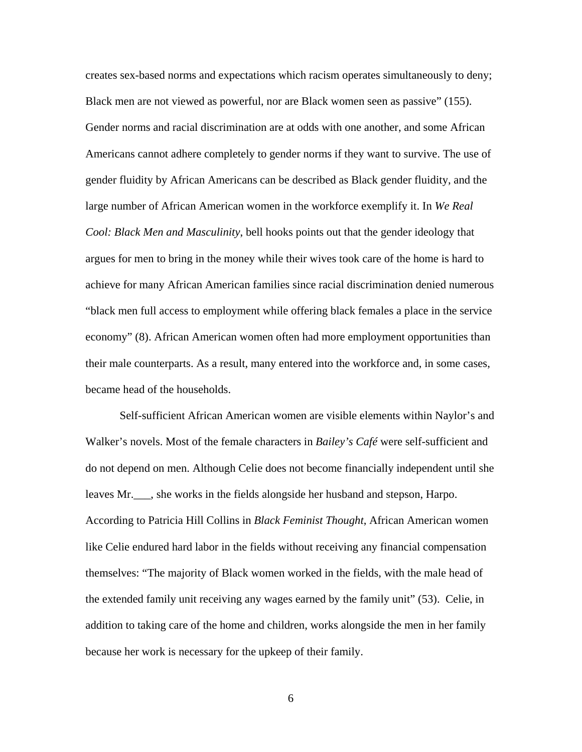creates sex-based norms and expectations which racism operates simultaneously to deny; Black men are not viewed as powerful, nor are Black women seen as passive" (155). Gender norms and racial discrimination are at odds with one another, and some African Americans cannot adhere completely to gender norms if they want to survive. The use of gender fluidity by African Americans can be described as Black gender fluidity, and the large number of African American women in the workforce exemplify it. In *We Real Cool: Black Men and Masculinity*, bell hooks points out that the gender ideology that argues for men to bring in the money while their wives took care of the home is hard to achieve for many African American families since racial discrimination denied numerous "black men full access to employment while offering black females a place in the service economy" (8). African American women often had more employment opportunities than their male counterparts. As a result, many entered into the workforce and, in some cases, became head of the households.

Self-sufficient African American women are visible elements within Naylor's and Walker's novels. Most of the female characters in *Bailey's Café* were self-sufficient and do not depend on men. Although Celie does not become financially independent until she leaves Mr.\_\_\_, she works in the fields alongside her husband and stepson, Harpo. According to Patricia Hill Collins in *Black Feminist Thought*, African American women like Celie endured hard labor in the fields without receiving any financial compensation themselves: "The majority of Black women worked in the fields, with the male head of the extended family unit receiving any wages earned by the family unit" (53). Celie, in addition to taking care of the home and children, works alongside the men in her family because her work is necessary for the upkeep of their family.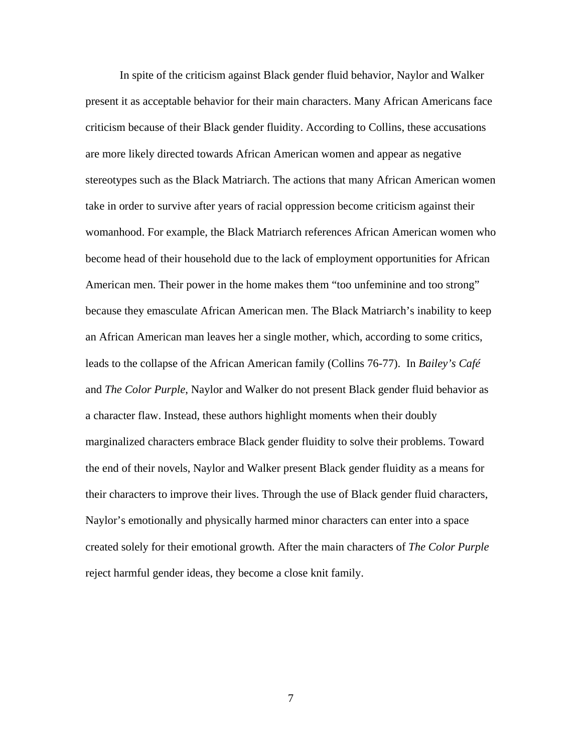In spite of the criticism against Black gender fluid behavior, Naylor and Walker present it as acceptable behavior for their main characters. Many African Americans face criticism because of their Black gender fluidity. According to Collins, these accusations are more likely directed towards African American women and appear as negative stereotypes such as the Black Matriarch. The actions that many African American women take in order to survive after years of racial oppression become criticism against their womanhood. For example, the Black Matriarch references African American women who become head of their household due to the lack of employment opportunities for African American men. Their power in the home makes them "too unfeminine and too strong" because they emasculate African American men. The Black Matriarch's inability to keep an African American man leaves her a single mother, which, according to some critics, leads to the collapse of the African American family (Collins 76-77). In *Bailey's Café* and *The Color Purple*, Naylor and Walker do not present Black gender fluid behavior as a character flaw. Instead, these authors highlight moments when their doubly marginalized characters embrace Black gender fluidity to solve their problems. Toward the end of their novels, Naylor and Walker present Black gender fluidity as a means for their characters to improve their lives. Through the use of Black gender fluid characters, Naylor's emotionally and physically harmed minor characters can enter into a space created solely for their emotional growth. After the main characters of *The Color Purple* reject harmful gender ideas, they become a close knit family.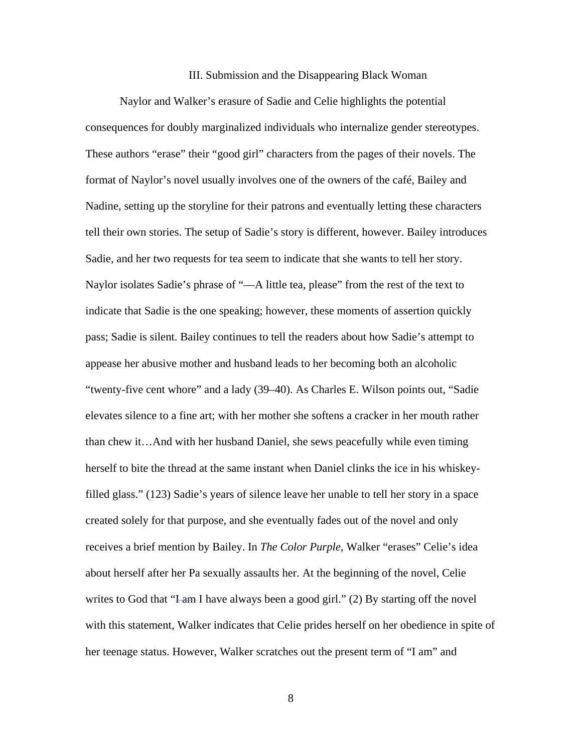### III. Submission and the Disappearing Black Woman

Naylor and Walker's erasure of Sadie and Celie highlights the potential consequences for doubly marginalized individuals who internalize gender stereotypes. These authors "erase" their "good girl" characters from the pages of their novels. The format of Naylor's novel usually involves one of the owners of the café, Bailey and Nadine, setting up the storyline for their patrons and eventually letting these characters tell their own stories. The setup of Sadie's story is different, however. Bailey introduces Sadie, and her two requests for tea seem to indicate that she wants to tell her story. Naylor isolates Sadie's phrase of "—A little tea, please" from the rest of the text to indicate that Sadie is the one speaking; however, these moments of assertion quickly pass; Sadie is silent. Bailey continues to tell the readers about how Sadie's attempt to appease her abusive mother and husband leads to her becoming both an alcoholic "twenty-five cent whore" and a lady (39–40). As Charles E. Wilson points out, "Sadie elevates silence to a fine art; with her mother she softens a cracker in her mouth rather than chew it…And with her husband Daniel, she sews peacefully while even timing herself to bite the thread at the same instant when Daniel clinks the ice in his whiskeyfilled glass." (123) Sadie's years of silence leave her unable to tell her story in a space created solely for that purpose, and she eventually fades out of the novel and only receives a brief mention by Bailey. In *The Color Purple*, Walker "erases" Celie's idea about herself after her Pa sexually assaults her. At the beginning of the novel, Celie writes to God that "I-am I have always been a good girl." (2) By starting off the novel with this statement, Walker indicates that Celie prides herself on her obedience in spite of her teenage status. However, Walker scratches out the present term of "I am" and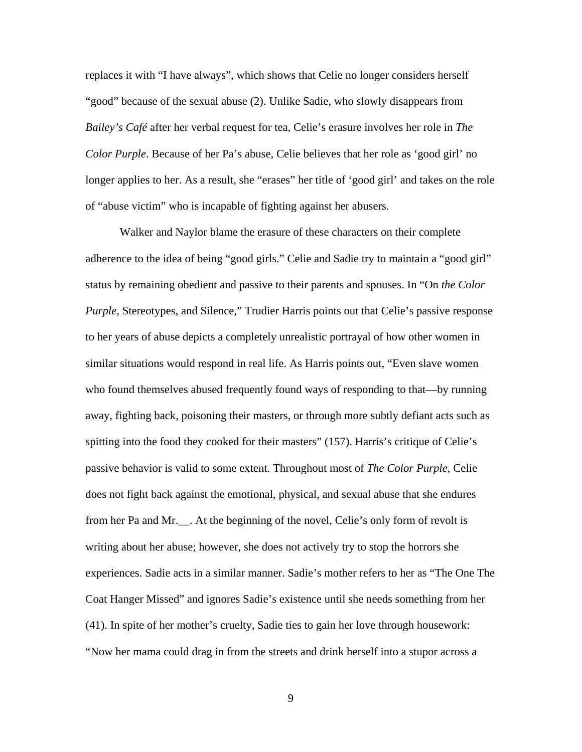replaces it with "I have always", which shows that Celie no longer considers herself "good" because of the sexual abuse (2). Unlike Sadie, who slowly disappears from *Bailey's Café* after her verbal request for tea, Celie's erasure involves her role in *The Color Purple*. Because of her Pa's abuse, Celie believes that her role as 'good girl' no longer applies to her. As a result, she "erases" her title of 'good girl' and takes on the role of "abuse victim" who is incapable of fighting against her abusers.

Walker and Naylor blame the erasure of these characters on their complete adherence to the idea of being "good girls." Celie and Sadie try to maintain a "good girl" status by remaining obedient and passive to their parents and spouses. In "On *the Color Purple*, Stereotypes, and Silence," Trudier Harris points out that Celie's passive response to her years of abuse depicts a completely unrealistic portrayal of how other women in similar situations would respond in real life. As Harris points out, "Even slave women who found themselves abused frequently found ways of responding to that—by running away, fighting back, poisoning their masters, or through more subtly defiant acts such as spitting into the food they cooked for their masters" (157). Harris's critique of Celie's passive behavior is valid to some extent. Throughout most of *The Color Purple*, Celie does not fight back against the emotional, physical, and sexual abuse that she endures from her Pa and Mr.\_\_. At the beginning of the novel, Celie's only form of revolt is writing about her abuse; however, she does not actively try to stop the horrors she experiences. Sadie acts in a similar manner. Sadie's mother refers to her as "The One The Coat Hanger Missed" and ignores Sadie's existence until she needs something from her (41). In spite of her mother's cruelty, Sadie ties to gain her love through housework: "Now her mama could drag in from the streets and drink herself into a stupor across a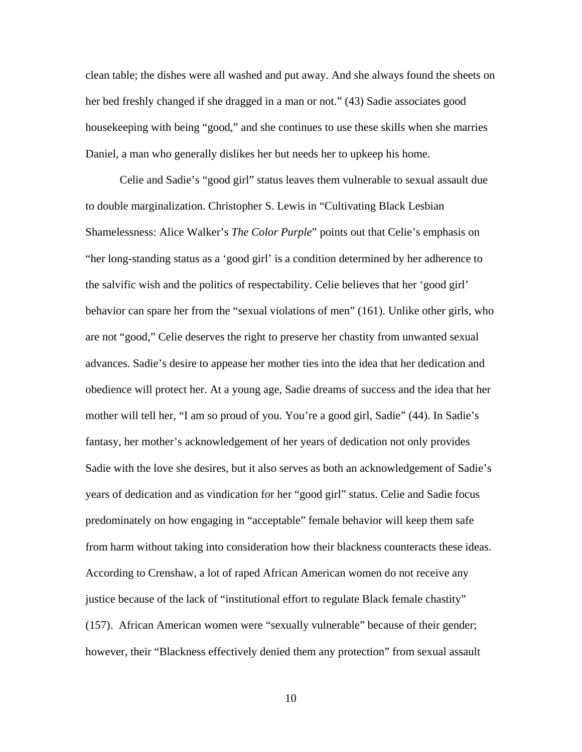clean table; the dishes were all washed and put away. And she always found the sheets on her bed freshly changed if she dragged in a man or not." (43) Sadie associates good housekeeping with being "good," and she continues to use these skills when she marries Daniel, a man who generally dislikes her but needs her to upkeep his home.

Celie and Sadie's "good girl" status leaves them vulnerable to sexual assault due to double marginalization. Christopher S. Lewis in "Cultivating Black Lesbian Shamelessness: Alice Walker's *The Color Purple*" points out that Celie's emphasis on "her long-standing status as a 'good girl' is a condition determined by her adherence to the salvific wish and the politics of respectability. Celie believes that her 'good girl' behavior can spare her from the "sexual violations of men" (161). Unlike other girls, who are not "good," Celie deserves the right to preserve her chastity from unwanted sexual advances. Sadie's desire to appease her mother ties into the idea that her dedication and obedience will protect her. At a young age, Sadie dreams of success and the idea that her mother will tell her, "I am so proud of you. You're a good girl, Sadie" (44). In Sadie's fantasy, her mother's acknowledgement of her years of dedication not only provides Sadie with the love she desires, but it also serves as both an acknowledgement of Sadie's years of dedication and as vindication for her "good girl" status. Celie and Sadie focus predominately on how engaging in "acceptable" female behavior will keep them safe from harm without taking into consideration how their blackness counteracts these ideas. According to Crenshaw, a lot of raped African American women do not receive any justice because of the lack of "institutional effort to regulate Black female chastity" (157). African American women were "sexually vulnerable" because of their gender; however, their "Blackness effectively denied them any protection" from sexual assault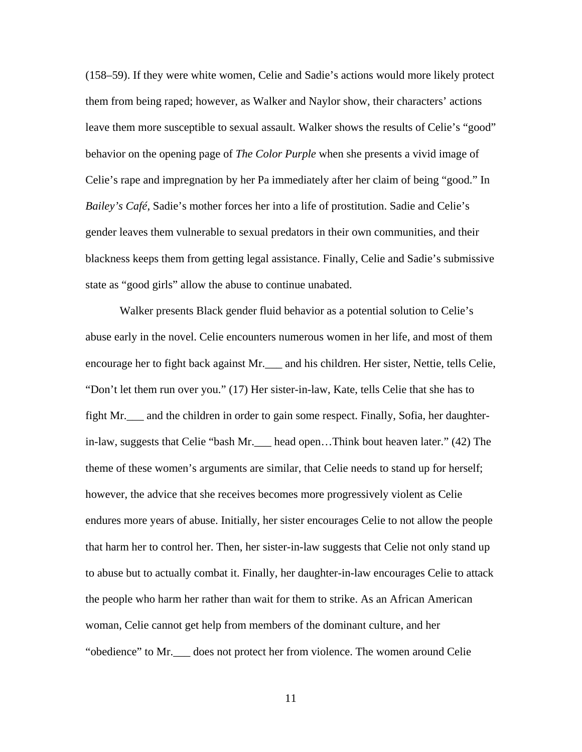(158–59). If they were white women, Celie and Sadie's actions would more likely protect them from being raped; however, as Walker and Naylor show, their characters' actions leave them more susceptible to sexual assault. Walker shows the results of Celie's "good" behavior on the opening page of *The Color Purple* when she presents a vivid image of Celie's rape and impregnation by her Pa immediately after her claim of being "good." In *Bailey's Café*, Sadie's mother forces her into a life of prostitution. Sadie and Celie's gender leaves them vulnerable to sexual predators in their own communities, and their blackness keeps them from getting legal assistance. Finally, Celie and Sadie's submissive state as "good girls" allow the abuse to continue unabated.

Walker presents Black gender fluid behavior as a potential solution to Celie's abuse early in the novel. Celie encounters numerous women in her life, and most of them encourage her to fight back against Mr.\_\_\_ and his children. Her sister, Nettie, tells Celie, "Don't let them run over you." (17) Her sister-in-law, Kate, tells Celie that she has to fight Mr.\_\_\_ and the children in order to gain some respect. Finally, Sofia, her daughterin-law, suggests that Celie "bash Mr.\_\_\_ head open…Think bout heaven later." (42) The theme of these women's arguments are similar, that Celie needs to stand up for herself; however, the advice that she receives becomes more progressively violent as Celie endures more years of abuse. Initially, her sister encourages Celie to not allow the people that harm her to control her. Then, her sister-in-law suggests that Celie not only stand up to abuse but to actually combat it. Finally, her daughter-in-law encourages Celie to attack the people who harm her rather than wait for them to strike. As an African American woman, Celie cannot get help from members of the dominant culture, and her "obedience" to Mr.\_\_\_ does not protect her from violence. The women around Celie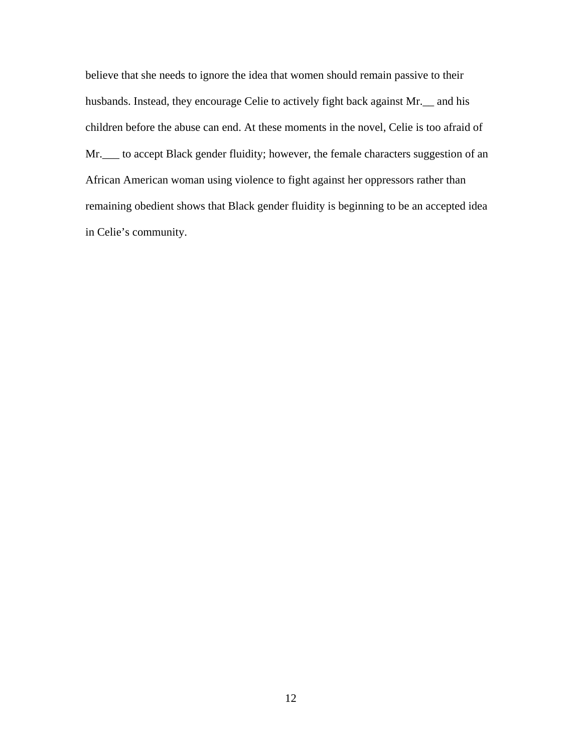believe that she needs to ignore the idea that women should remain passive to their husbands. Instead, they encourage Celie to actively fight back against Mr.\_\_ and his children before the abuse can end. At these moments in the novel, Celie is too afraid of Mr.\_\_\_ to accept Black gender fluidity; however, the female characters suggestion of an African American woman using violence to fight against her oppressors rather than remaining obedient shows that Black gender fluidity is beginning to be an accepted idea in Celie's community.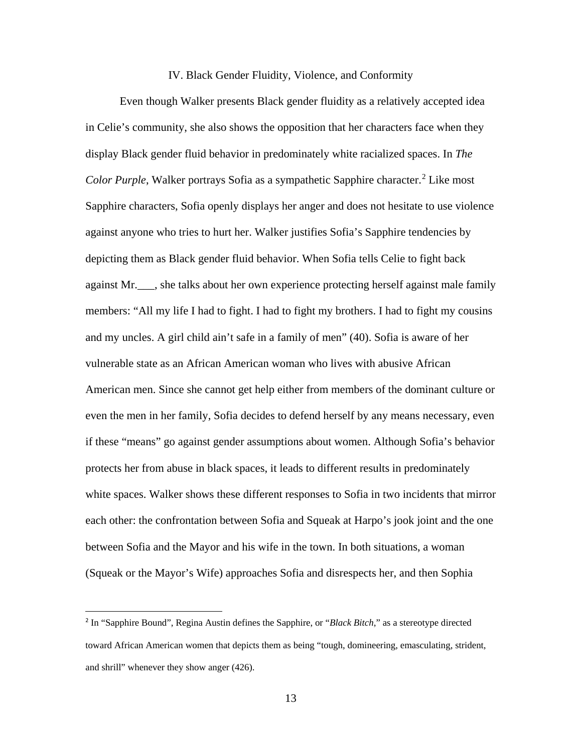### IV. Black Gender Fluidity, Violence, and Conformity

Even though Walker presents Black gender fluidity as a relatively accepted idea in Celie's community, she also shows the opposition that her characters face when they display Black gender fluid behavior in predominately white racialized spaces. In *The Color Purple*, Walker portrays Sofia as a sympathetic Sapphire character.<sup>[2](#page-17-0)</sup> Like most Sapphire characters, Sofia openly displays her anger and does not hesitate to use violence against anyone who tries to hurt her. Walker justifies Sofia's Sapphire tendencies by depicting them as Black gender fluid behavior. When Sofia tells Celie to fight back against Mr.\_\_\_, she talks about her own experience protecting herself against male family members: "All my life I had to fight. I had to fight my brothers. I had to fight my cousins and my uncles. A girl child ain't safe in a family of men" (40). Sofia is aware of her vulnerable state as an African American woman who lives with abusive African American men. Since she cannot get help either from members of the dominant culture or even the men in her family, Sofia decides to defend herself by any means necessary, even if these "means" go against gender assumptions about women. Although Sofia's behavior protects her from abuse in black spaces, it leads to different results in predominately white spaces. Walker shows these different responses to Sofia in two incidents that mirror each other: the confrontation between Sofia and Squeak at Harpo's jook joint and the one between Sofia and the Mayor and his wife in the town. In both situations, a woman (Squeak or the Mayor's Wife) approaches Sofia and disrespects her, and then Sophia

 $\overline{a}$ 

<span id="page-17-0"></span><sup>2</sup> In "Sapphire Bound", Regina Austin defines the Sapphire, or "*Black Bitch*," as a stereotype directed toward African American women that depicts them as being "tough, domineering, emasculating, strident, and shrill" whenever they show anger (426).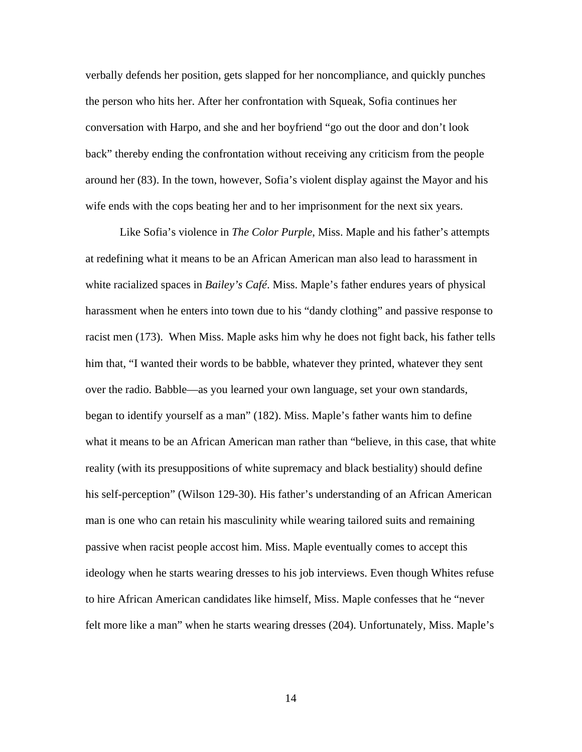verbally defends her position, gets slapped for her noncompliance, and quickly punches the person who hits her. After her confrontation with Squeak, Sofia continues her conversation with Harpo, and she and her boyfriend "go out the door and don't look back" thereby ending the confrontation without receiving any criticism from the people around her (83). In the town, however, Sofia's violent display against the Mayor and his wife ends with the cops beating her and to her imprisonment for the next six years.

Like Sofia's violence in *The Color Purple*, Miss. Maple and his father's attempts at redefining what it means to be an African American man also lead to harassment in white racialized spaces in *Bailey's Café*. Miss. Maple's father endures years of physical harassment when he enters into town due to his "dandy clothing" and passive response to racist men (173). When Miss. Maple asks him why he does not fight back, his father tells him that, "I wanted their words to be babble, whatever they printed, whatever they sent over the radio. Babble—as you learned your own language, set your own standards, began to identify yourself as a man" (182). Miss. Maple's father wants him to define what it means to be an African American man rather than "believe, in this case, that white reality (with its presuppositions of white supremacy and black bestiality) should define his self-perception" (Wilson 129-30). His father's understanding of an African American man is one who can retain his masculinity while wearing tailored suits and remaining passive when racist people accost him. Miss. Maple eventually comes to accept this ideology when he starts wearing dresses to his job interviews. Even though Whites refuse to hire African American candidates like himself, Miss. Maple confesses that he "never felt more like a man" when he starts wearing dresses (204). Unfortunately, Miss. Maple's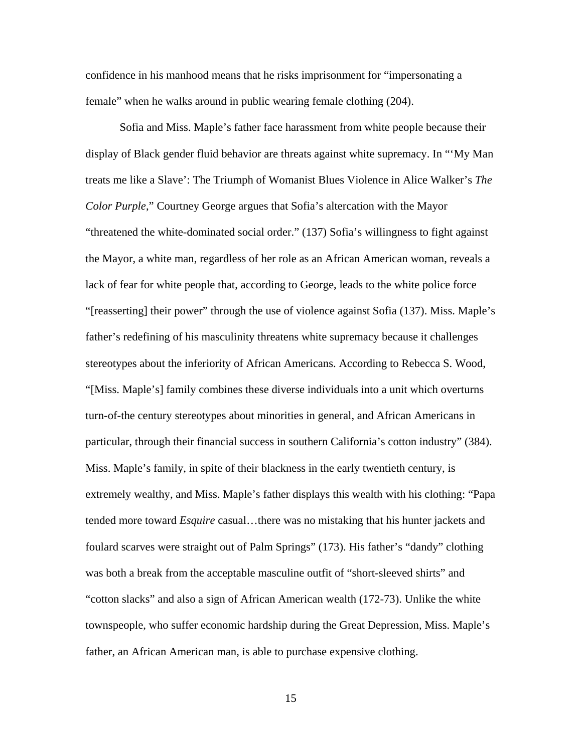confidence in his manhood means that he risks imprisonment for "impersonating a female" when he walks around in public wearing female clothing (204).

Sofia and Miss. Maple's father face harassment from white people because their display of Black gender fluid behavior are threats against white supremacy. In "'My Man treats me like a Slave': The Triumph of Womanist Blues Violence in Alice Walker's *The Color Purple*," Courtney George argues that Sofia's altercation with the Mayor "threatened the white-dominated social order." (137) Sofia's willingness to fight against the Mayor, a white man, regardless of her role as an African American woman, reveals a lack of fear for white people that, according to George, leads to the white police force "[reasserting] their power" through the use of violence against Sofia (137). Miss. Maple's father's redefining of his masculinity threatens white supremacy because it challenges stereotypes about the inferiority of African Americans. According to Rebecca S. Wood, "[Miss. Maple's] family combines these diverse individuals into a unit which overturns turn-of-the century stereotypes about minorities in general, and African Americans in particular, through their financial success in southern California's cotton industry" (384). Miss. Maple's family, in spite of their blackness in the early twentieth century, is extremely wealthy, and Miss. Maple's father displays this wealth with his clothing: "Papa tended more toward *Esquire* casual…there was no mistaking that his hunter jackets and foulard scarves were straight out of Palm Springs" (173). His father's "dandy" clothing was both a break from the acceptable masculine outfit of "short-sleeved shirts" and "cotton slacks" and also a sign of African American wealth (172-73). Unlike the white townspeople, who suffer economic hardship during the Great Depression, Miss. Maple's father, an African American man, is able to purchase expensive clothing.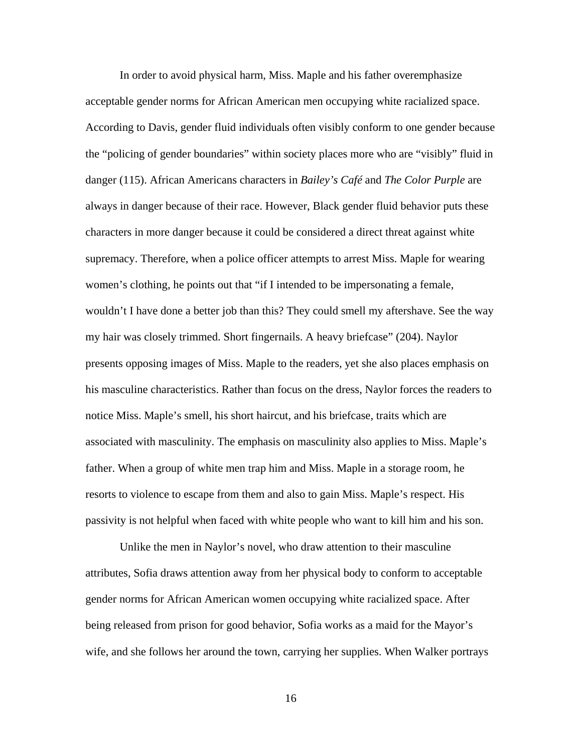In order to avoid physical harm, Miss. Maple and his father overemphasize acceptable gender norms for African American men occupying white racialized space. According to Davis, gender fluid individuals often visibly conform to one gender because the "policing of gender boundaries" within society places more who are "visibly" fluid in danger (115). African Americans characters in *Bailey's Café* and *The Color Purple* are always in danger because of their race. However, Black gender fluid behavior puts these characters in more danger because it could be considered a direct threat against white supremacy. Therefore, when a police officer attempts to arrest Miss. Maple for wearing women's clothing, he points out that "if I intended to be impersonating a female, wouldn't I have done a better job than this? They could smell my aftershave. See the way my hair was closely trimmed. Short fingernails. A heavy briefcase" (204). Naylor presents opposing images of Miss. Maple to the readers, yet she also places emphasis on his masculine characteristics. Rather than focus on the dress, Naylor forces the readers to notice Miss. Maple's smell, his short haircut, and his briefcase, traits which are associated with masculinity. The emphasis on masculinity also applies to Miss. Maple's father. When a group of white men trap him and Miss. Maple in a storage room, he resorts to violence to escape from them and also to gain Miss. Maple's respect. His passivity is not helpful when faced with white people who want to kill him and his son.

Unlike the men in Naylor's novel, who draw attention to their masculine attributes, Sofia draws attention away from her physical body to conform to acceptable gender norms for African American women occupying white racialized space. After being released from prison for good behavior, Sofia works as a maid for the Mayor's wife, and she follows her around the town, carrying her supplies. When Walker portrays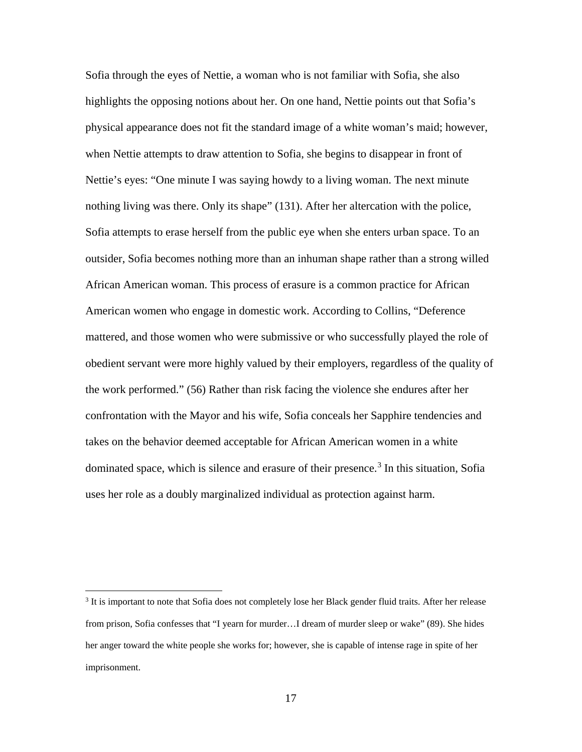Sofia through the eyes of Nettie, a woman who is not familiar with Sofia, she also highlights the opposing notions about her. On one hand, Nettie points out that Sofia's physical appearance does not fit the standard image of a white woman's maid; however, when Nettie attempts to draw attention to Sofia, she begins to disappear in front of Nettie's eyes: "One minute I was saying howdy to a living woman. The next minute nothing living was there. Only its shape" (131). After her altercation with the police, Sofia attempts to erase herself from the public eye when she enters urban space. To an outsider, Sofia becomes nothing more than an inhuman shape rather than a strong willed African American woman. This process of erasure is a common practice for African American women who engage in domestic work. According to Collins, "Deference mattered, and those women who were submissive or who successfully played the role of obedient servant were more highly valued by their employers, regardless of the quality of the work performed." (56) Rather than risk facing the violence she endures after her confrontation with the Mayor and his wife, Sofia conceals her Sapphire tendencies and takes on the behavior deemed acceptable for African American women in a white dominated space, which is silence and erasure of their presence.<sup>[3](#page-21-0)</sup> In this situation, Sofia uses her role as a doubly marginalized individual as protection against harm.

<span id="page-21-0"></span><sup>&</sup>lt;sup>3</sup> It is important to note that Sofia does not completely lose her Black gender fluid traits. After her release from prison, Sofia confesses that "I yearn for murder…I dream of murder sleep or wake" (89). She hides her anger toward the white people she works for; however, she is capable of intense rage in spite of her imprisonment.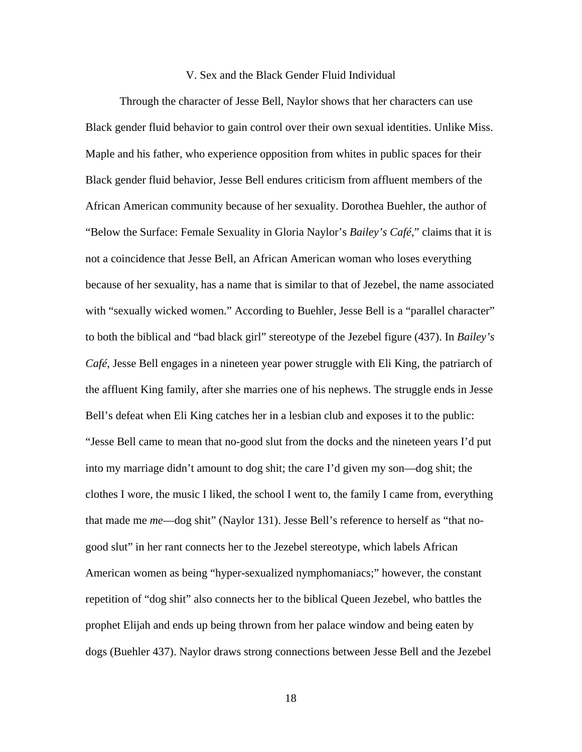### V. Sex and the Black Gender Fluid Individual

Through the character of Jesse Bell, Naylor shows that her characters can use Black gender fluid behavior to gain control over their own sexual identities. Unlike Miss. Maple and his father, who experience opposition from whites in public spaces for their Black gender fluid behavior, Jesse Bell endures criticism from affluent members of the African American community because of her sexuality. Dorothea Buehler, the author of "Below the Surface: Female Sexuality in Gloria Naylor's *Bailey's Café*," claims that it is not a coincidence that Jesse Bell, an African American woman who loses everything because of her sexuality, has a name that is similar to that of Jezebel, the name associated with "sexually wicked women." According to Buehler, Jesse Bell is a "parallel character" to both the biblical and "bad black girl" stereotype of the Jezebel figure (437). In *Bailey's Café*, Jesse Bell engages in a nineteen year power struggle with Eli King, the patriarch of the affluent King family, after she marries one of his nephews. The struggle ends in Jesse Bell's defeat when Eli King catches her in a lesbian club and exposes it to the public: "Jesse Bell came to mean that no-good slut from the docks and the nineteen years I'd put into my marriage didn't amount to dog shit; the care I'd given my son—dog shit; the clothes I wore, the music I liked, the school I went to, the family I came from, everything that made me *me*—dog shit" (Naylor 131). Jesse Bell's reference to herself as "that nogood slut" in her rant connects her to the Jezebel stereotype, which labels African American women as being "hyper-sexualized nymphomaniacs;" however, the constant repetition of "dog shit" also connects her to the biblical Queen Jezebel, who battles the prophet Elijah and ends up being thrown from her palace window and being eaten by dogs (Buehler 437). Naylor draws strong connections between Jesse Bell and the Jezebel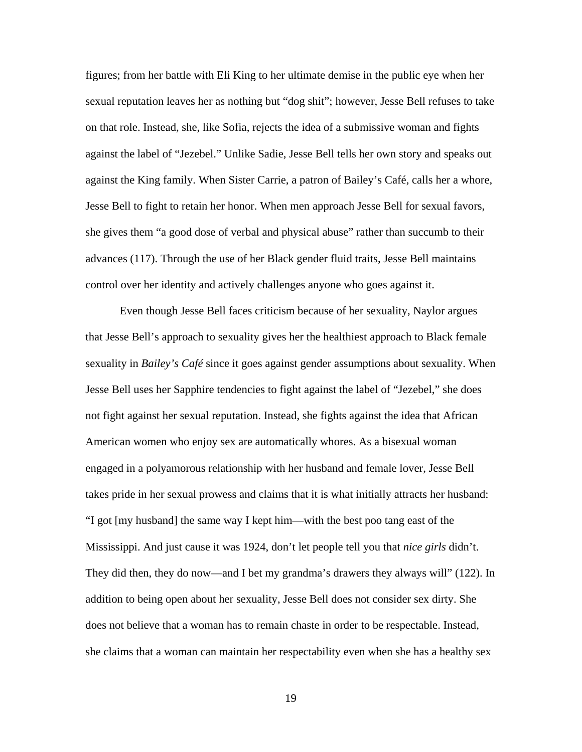figures; from her battle with Eli King to her ultimate demise in the public eye when her sexual reputation leaves her as nothing but "dog shit"; however, Jesse Bell refuses to take on that role. Instead, she, like Sofia, rejects the idea of a submissive woman and fights against the label of "Jezebel." Unlike Sadie, Jesse Bell tells her own story and speaks out against the King family. When Sister Carrie, a patron of Bailey's Café, calls her a whore, Jesse Bell to fight to retain her honor. When men approach Jesse Bell for sexual favors, she gives them "a good dose of verbal and physical abuse" rather than succumb to their advances (117). Through the use of her Black gender fluid traits, Jesse Bell maintains control over her identity and actively challenges anyone who goes against it.

Even though Jesse Bell faces criticism because of her sexuality, Naylor argues that Jesse Bell's approach to sexuality gives her the healthiest approach to Black female sexuality in *Bailey's Café* since it goes against gender assumptions about sexuality. When Jesse Bell uses her Sapphire tendencies to fight against the label of "Jezebel," she does not fight against her sexual reputation. Instead, she fights against the idea that African American women who enjoy sex are automatically whores. As a bisexual woman engaged in a polyamorous relationship with her husband and female lover, Jesse Bell takes pride in her sexual prowess and claims that it is what initially attracts her husband: "I got [my husband] the same way I kept him—with the best poo tang east of the Mississippi. And just cause it was 1924, don't let people tell you that *nice girls* didn't. They did then, they do now—and I bet my grandma's drawers they always will" (122). In addition to being open about her sexuality, Jesse Bell does not consider sex dirty. She does not believe that a woman has to remain chaste in order to be respectable. Instead, she claims that a woman can maintain her respectability even when she has a healthy sex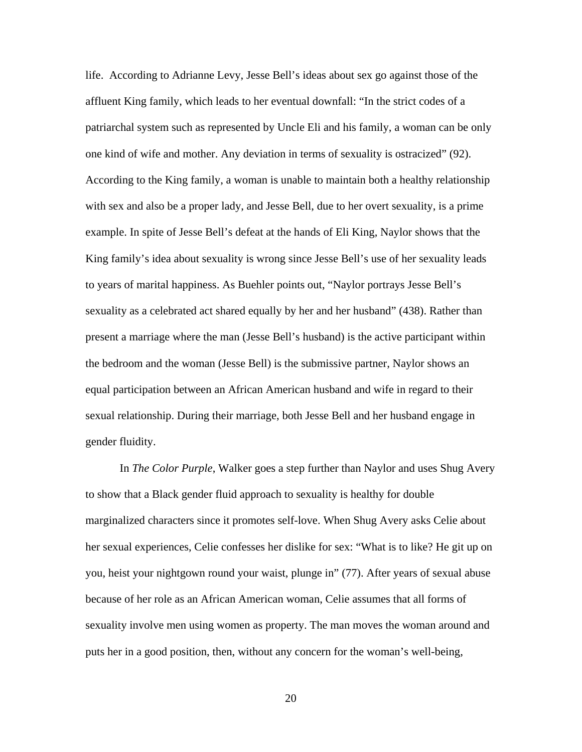life. According to Adrianne Levy, Jesse Bell's ideas about sex go against those of the affluent King family, which leads to her eventual downfall: "In the strict codes of a patriarchal system such as represented by Uncle Eli and his family, a woman can be only one kind of wife and mother. Any deviation in terms of sexuality is ostracized" (92). According to the King family, a woman is unable to maintain both a healthy relationship with sex and also be a proper lady, and Jesse Bell, due to her overt sexuality, is a prime example. In spite of Jesse Bell's defeat at the hands of Eli King, Naylor shows that the King family's idea about sexuality is wrong since Jesse Bell's use of her sexuality leads to years of marital happiness. As Buehler points out, "Naylor portrays Jesse Bell's sexuality as a celebrated act shared equally by her and her husband" (438). Rather than present a marriage where the man (Jesse Bell's husband) is the active participant within the bedroom and the woman (Jesse Bell) is the submissive partner, Naylor shows an equal participation between an African American husband and wife in regard to their sexual relationship. During their marriage, both Jesse Bell and her husband engage in gender fluidity.

In *The Color Purple*, Walker goes a step further than Naylor and uses Shug Avery to show that a Black gender fluid approach to sexuality is healthy for double marginalized characters since it promotes self-love. When Shug Avery asks Celie about her sexual experiences, Celie confesses her dislike for sex: "What is to like? He git up on you, heist your nightgown round your waist, plunge in" (77). After years of sexual abuse because of her role as an African American woman, Celie assumes that all forms of sexuality involve men using women as property. The man moves the woman around and puts her in a good position, then, without any concern for the woman's well-being,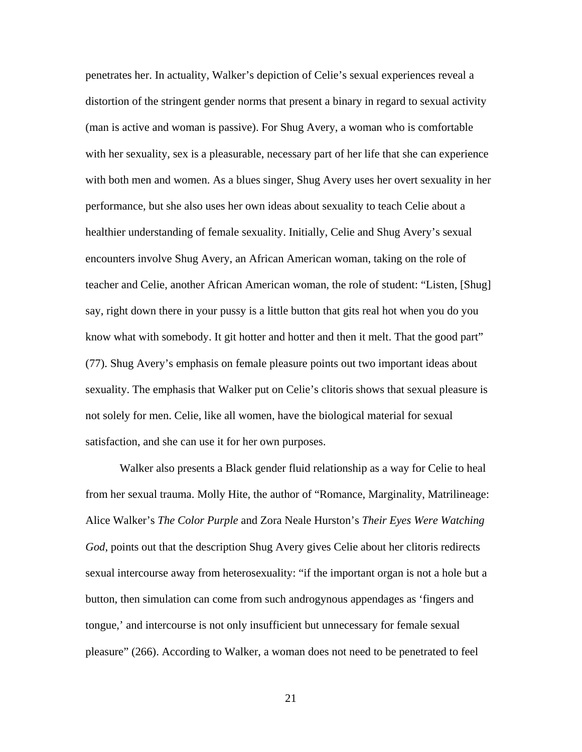penetrates her. In actuality, Walker's depiction of Celie's sexual experiences reveal a distortion of the stringent gender norms that present a binary in regard to sexual activity (man is active and woman is passive). For Shug Avery, a woman who is comfortable with her sexuality, sex is a pleasurable, necessary part of her life that she can experience with both men and women. As a blues singer, Shug Avery uses her overt sexuality in her performance, but she also uses her own ideas about sexuality to teach Celie about a healthier understanding of female sexuality. Initially, Celie and Shug Avery's sexual encounters involve Shug Avery, an African American woman, taking on the role of teacher and Celie, another African American woman, the role of student: "Listen, [Shug] say, right down there in your pussy is a little button that gits real hot when you do you know what with somebody. It git hotter and hotter and then it melt. That the good part" (77). Shug Avery's emphasis on female pleasure points out two important ideas about sexuality. The emphasis that Walker put on Celie's clitoris shows that sexual pleasure is not solely for men. Celie, like all women, have the biological material for sexual satisfaction, and she can use it for her own purposes.

Walker also presents a Black gender fluid relationship as a way for Celie to heal from her sexual trauma. Molly Hite, the author of "Romance, Marginality, Matrilineage: Alice Walker's *The Color Purple* and Zora Neale Hurston's *Their Eyes Were Watching God*, points out that the description Shug Avery gives Celie about her clitoris redirects sexual intercourse away from heterosexuality: "if the important organ is not a hole but a button, then simulation can come from such androgynous appendages as 'fingers and tongue,' and intercourse is not only insufficient but unnecessary for female sexual pleasure" (266). According to Walker, a woman does not need to be penetrated to feel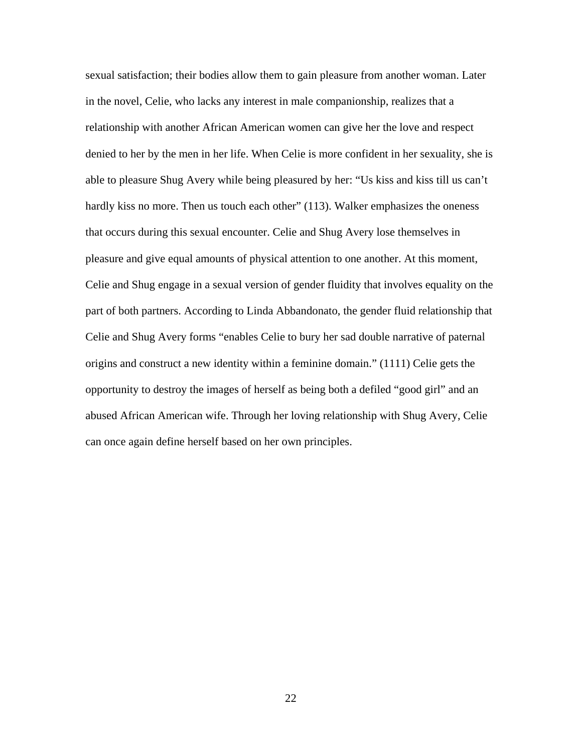sexual satisfaction; their bodies allow them to gain pleasure from another woman. Later in the novel, Celie, who lacks any interest in male companionship, realizes that a relationship with another African American women can give her the love and respect denied to her by the men in her life. When Celie is more confident in her sexuality, she is able to pleasure Shug Avery while being pleasured by her: "Us kiss and kiss till us can't hardly kiss no more. Then us touch each other" (113). Walker emphasizes the oneness that occurs during this sexual encounter. Celie and Shug Avery lose themselves in pleasure and give equal amounts of physical attention to one another. At this moment, Celie and Shug engage in a sexual version of gender fluidity that involves equality on the part of both partners. According to Linda Abbandonato, the gender fluid relationship that Celie and Shug Avery forms "enables Celie to bury her sad double narrative of paternal origins and construct a new identity within a feminine domain." (1111) Celie gets the opportunity to destroy the images of herself as being both a defiled "good girl" and an abused African American wife. Through her loving relationship with Shug Avery, Celie can once again define herself based on her own principles.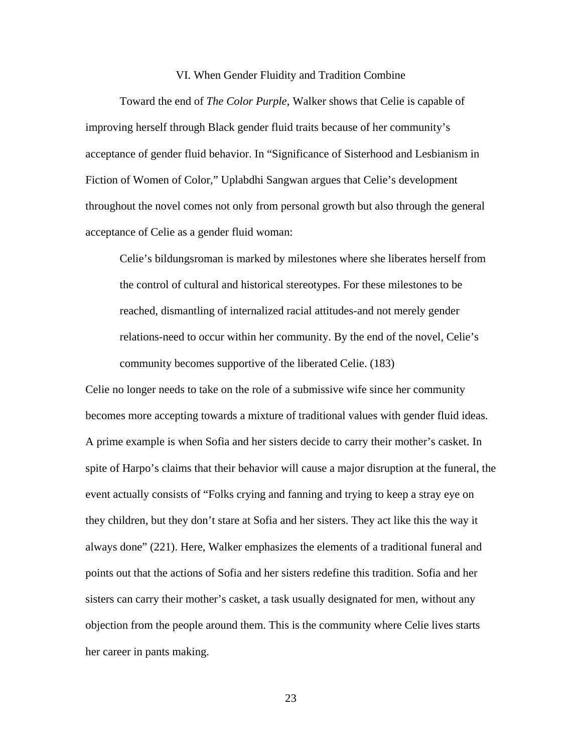### VI. When Gender Fluidity and Tradition Combine

Toward the end of *The Color Purple*, Walker shows that Celie is capable of improving herself through Black gender fluid traits because of her community's acceptance of gender fluid behavior. In "Significance of Sisterhood and Lesbianism in Fiction of Women of Color," Uplabdhi Sangwan argues that Celie's development throughout the novel comes not only from personal growth but also through the general acceptance of Celie as a gender fluid woman:

Celie's bildungsroman is marked by milestones where she liberates herself from the control of cultural and historical stereotypes. For these milestones to be reached, dismantling of internalized racial attitudes-and not merely gender relations-need to occur within her community. By the end of the novel, Celie's community becomes supportive of the liberated Celie. (183)

Celie no longer needs to take on the role of a submissive wife since her community becomes more accepting towards a mixture of traditional values with gender fluid ideas. A prime example is when Sofia and her sisters decide to carry their mother's casket. In spite of Harpo's claims that their behavior will cause a major disruption at the funeral, the event actually consists of "Folks crying and fanning and trying to keep a stray eye on they children, but they don't stare at Sofia and her sisters. They act like this the way it always done" (221). Here, Walker emphasizes the elements of a traditional funeral and points out that the actions of Sofia and her sisters redefine this tradition. Sofia and her sisters can carry their mother's casket, a task usually designated for men, without any objection from the people around them. This is the community where Celie lives starts her career in pants making.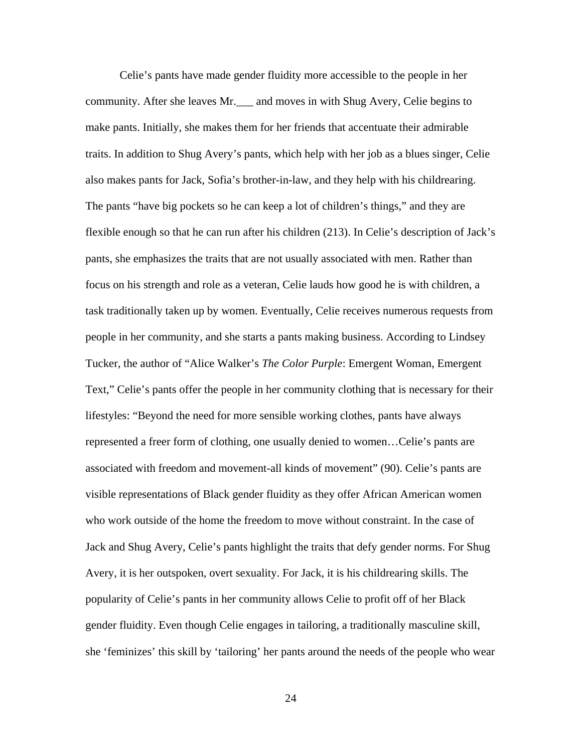Celie's pants have made gender fluidity more accessible to the people in her community. After she leaves Mr.\_\_\_ and moves in with Shug Avery, Celie begins to make pants. Initially, she makes them for her friends that accentuate their admirable traits. In addition to Shug Avery's pants, which help with her job as a blues singer, Celie also makes pants for Jack, Sofia's brother-in-law, and they help with his childrearing. The pants "have big pockets so he can keep a lot of children's things," and they are flexible enough so that he can run after his children (213). In Celie's description of Jack's pants, she emphasizes the traits that are not usually associated with men. Rather than focus on his strength and role as a veteran, Celie lauds how good he is with children, a task traditionally taken up by women. Eventually, Celie receives numerous requests from people in her community, and she starts a pants making business. According to Lindsey Tucker, the author of "Alice Walker's *The Color Purple*: Emergent Woman, Emergent Text," Celie's pants offer the people in her community clothing that is necessary for their lifestyles: "Beyond the need for more sensible working clothes, pants have always represented a freer form of clothing, one usually denied to women…Celie's pants are associated with freedom and movement-all kinds of movement" (90). Celie's pants are visible representations of Black gender fluidity as they offer African American women who work outside of the home the freedom to move without constraint. In the case of Jack and Shug Avery, Celie's pants highlight the traits that defy gender norms. For Shug Avery, it is her outspoken, overt sexuality. For Jack, it is his childrearing skills. The popularity of Celie's pants in her community allows Celie to profit off of her Black gender fluidity. Even though Celie engages in tailoring, a traditionally masculine skill, she 'feminizes' this skill by 'tailoring' her pants around the needs of the people who wear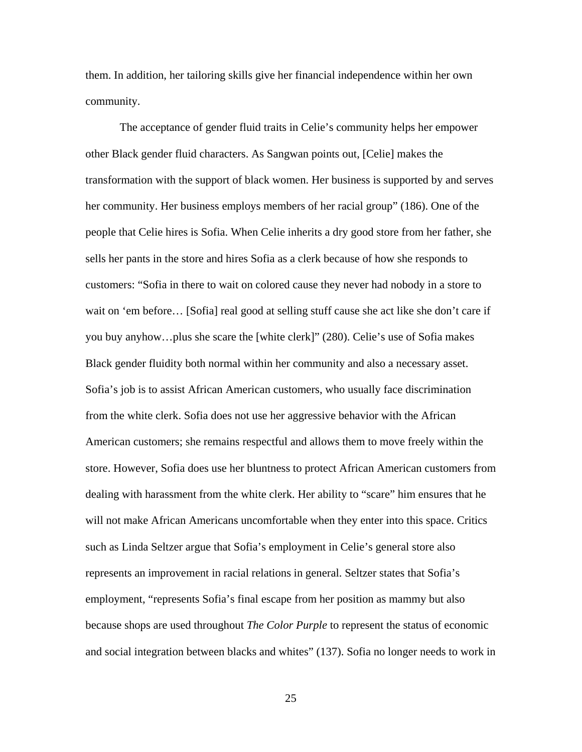them. In addition, her tailoring skills give her financial independence within her own community.

The acceptance of gender fluid traits in Celie's community helps her empower other Black gender fluid characters. As Sangwan points out, [Celie] makes the transformation with the support of black women. Her business is supported by and serves her community. Her business employs members of her racial group" (186). One of the people that Celie hires is Sofia. When Celie inherits a dry good store from her father, she sells her pants in the store and hires Sofia as a clerk because of how she responds to customers: "Sofia in there to wait on colored cause they never had nobody in a store to wait on 'em before… [Sofia] real good at selling stuff cause she act like she don't care if you buy anyhow…plus she scare the [white clerk]" (280). Celie's use of Sofia makes Black gender fluidity both normal within her community and also a necessary asset. Sofia's job is to assist African American customers, who usually face discrimination from the white clerk. Sofia does not use her aggressive behavior with the African American customers; she remains respectful and allows them to move freely within the store. However, Sofia does use her bluntness to protect African American customers from dealing with harassment from the white clerk. Her ability to "scare" him ensures that he will not make African Americans uncomfortable when they enter into this space. Critics such as Linda Seltzer argue that Sofia's employment in Celie's general store also represents an improvement in racial relations in general. Seltzer states that Sofia's employment, "represents Sofia's final escape from her position as mammy but also because shops are used throughout *The Color Purple* to represent the status of economic and social integration between blacks and whites" (137). Sofia no longer needs to work in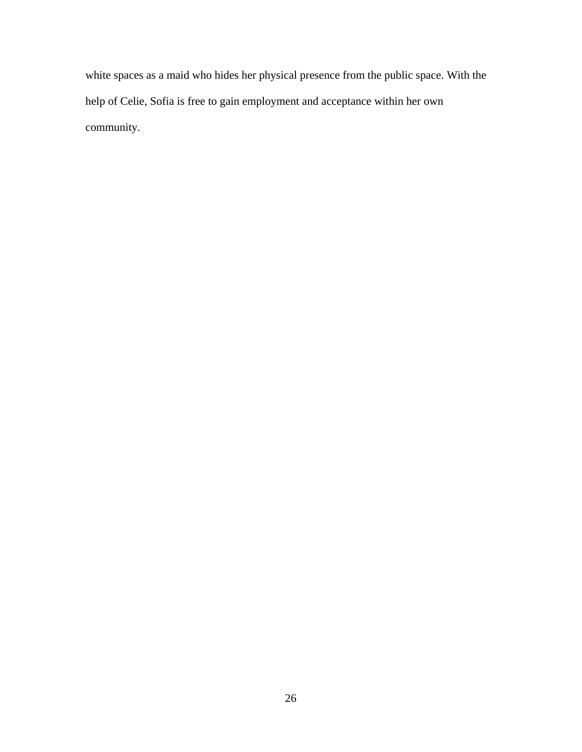white spaces as a maid who hides her physical presence from the public space. With the help of Celie, Sofia is free to gain employment and acceptance within her own community.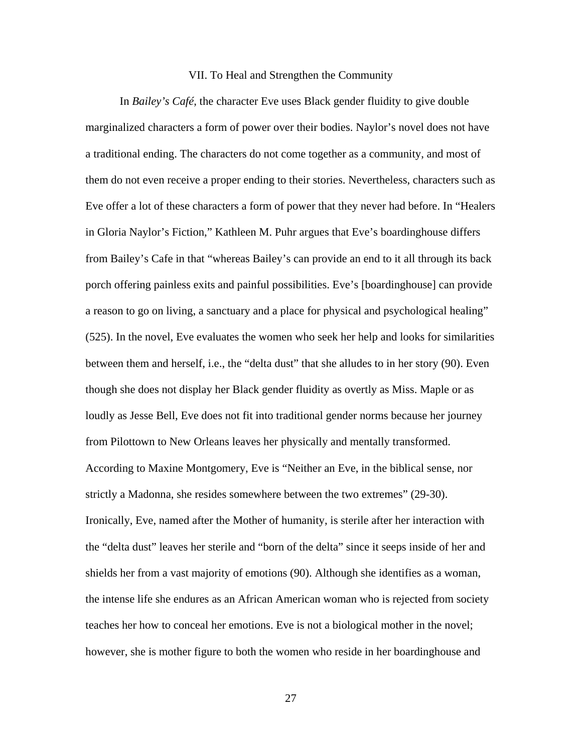### VII. To Heal and Strengthen the Community

In *Bailey's Café*, the character Eve uses Black gender fluidity to give double marginalized characters a form of power over their bodies. Naylor's novel does not have a traditional ending. The characters do not come together as a community, and most of them do not even receive a proper ending to their stories. Nevertheless, characters such as Eve offer a lot of these characters a form of power that they never had before. In "Healers in Gloria Naylor's Fiction," Kathleen M. Puhr argues that Eve's boardinghouse differs from Bailey's Cafe in that "whereas Bailey's can provide an end to it all through its back porch offering painless exits and painful possibilities. Eve's [boardinghouse] can provide a reason to go on living, a sanctuary and a place for physical and psychological healing" (525). In the novel, Eve evaluates the women who seek her help and looks for similarities between them and herself, i.e., the "delta dust" that she alludes to in her story (90). Even though she does not display her Black gender fluidity as overtly as Miss. Maple or as loudly as Jesse Bell, Eve does not fit into traditional gender norms because her journey from Pilottown to New Orleans leaves her physically and mentally transformed. According to Maxine Montgomery, Eve is "Neither an Eve, in the biblical sense, nor strictly a Madonna, she resides somewhere between the two extremes" (29-30). Ironically, Eve, named after the Mother of humanity, is sterile after her interaction with the "delta dust" leaves her sterile and "born of the delta" since it seeps inside of her and shields her from a vast majority of emotions (90). Although she identifies as a woman, the intense life she endures as an African American woman who is rejected from society teaches her how to conceal her emotions. Eve is not a biological mother in the novel; however, she is mother figure to both the women who reside in her boardinghouse and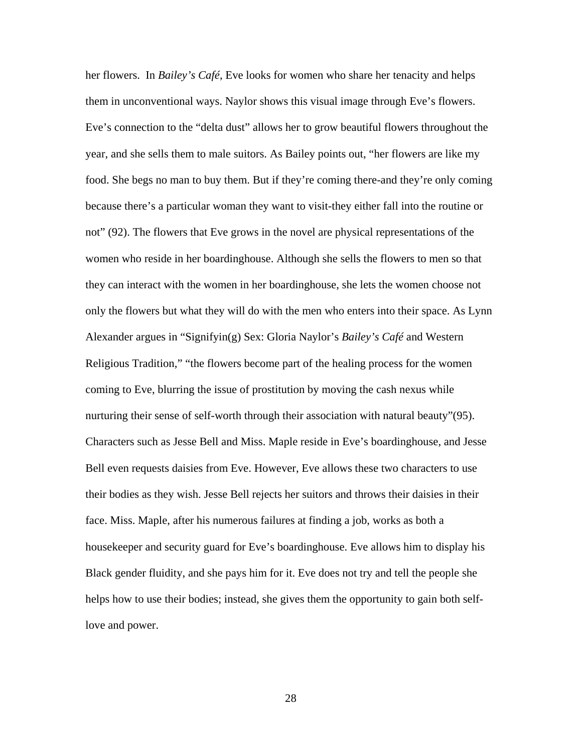her flowers. In *Bailey's Café*, Eve looks for women who share her tenacity and helps them in unconventional ways. Naylor shows this visual image through Eve's flowers. Eve's connection to the "delta dust" allows her to grow beautiful flowers throughout the year, and she sells them to male suitors. As Bailey points out, "her flowers are like my food. She begs no man to buy them. But if they're coming there-and they're only coming because there's a particular woman they want to visit-they either fall into the routine or not" (92). The flowers that Eve grows in the novel are physical representations of the women who reside in her boardinghouse. Although she sells the flowers to men so that they can interact with the women in her boardinghouse, she lets the women choose not only the flowers but what they will do with the men who enters into their space. As Lynn Alexander argues in "Signifyin(g) Sex: Gloria Naylor's *Bailey's Café* and Western Religious Tradition," "the flowers become part of the healing process for the women coming to Eve, blurring the issue of prostitution by moving the cash nexus while nurturing their sense of self-worth through their association with natural beauty"(95). Characters such as Jesse Bell and Miss. Maple reside in Eve's boardinghouse, and Jesse Bell even requests daisies from Eve. However, Eve allows these two characters to use their bodies as they wish. Jesse Bell rejects her suitors and throws their daisies in their face. Miss. Maple, after his numerous failures at finding a job, works as both a housekeeper and security guard for Eve's boardinghouse. Eve allows him to display his Black gender fluidity, and she pays him for it. Eve does not try and tell the people she helps how to use their bodies; instead, she gives them the opportunity to gain both selflove and power.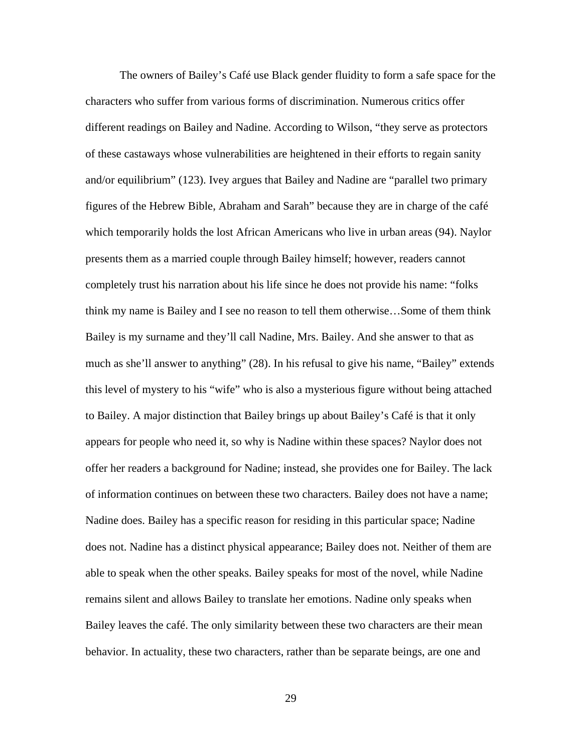The owners of Bailey's Café use Black gender fluidity to form a safe space for the characters who suffer from various forms of discrimination. Numerous critics offer different readings on Bailey and Nadine. According to Wilson, "they serve as protectors of these castaways whose vulnerabilities are heightened in their efforts to regain sanity and/or equilibrium" (123). Ivey argues that Bailey and Nadine are "parallel two primary figures of the Hebrew Bible, Abraham and Sarah" because they are in charge of the café which temporarily holds the lost African Americans who live in urban areas (94). Naylor presents them as a married couple through Bailey himself; however, readers cannot completely trust his narration about his life since he does not provide his name: "folks think my name is Bailey and I see no reason to tell them otherwise…Some of them think Bailey is my surname and they'll call Nadine, Mrs. Bailey. And she answer to that as much as she'll answer to anything" (28). In his refusal to give his name, "Bailey" extends this level of mystery to his "wife" who is also a mysterious figure without being attached to Bailey. A major distinction that Bailey brings up about Bailey's Café is that it only appears for people who need it, so why is Nadine within these spaces? Naylor does not offer her readers a background for Nadine; instead, she provides one for Bailey. The lack of information continues on between these two characters. Bailey does not have a name; Nadine does. Bailey has a specific reason for residing in this particular space; Nadine does not. Nadine has a distinct physical appearance; Bailey does not. Neither of them are able to speak when the other speaks. Bailey speaks for most of the novel, while Nadine remains silent and allows Bailey to translate her emotions. Nadine only speaks when Bailey leaves the café. The only similarity between these two characters are their mean behavior. In actuality, these two characters, rather than be separate beings, are one and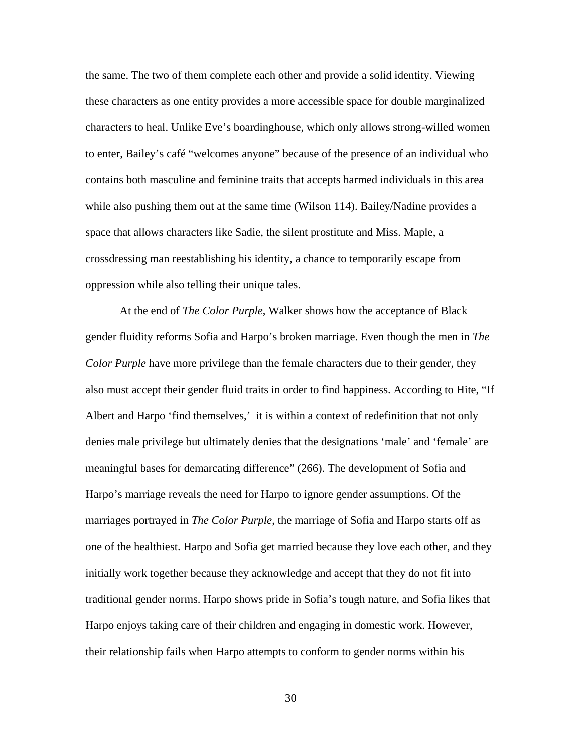the same. The two of them complete each other and provide a solid identity. Viewing these characters as one entity provides a more accessible space for double marginalized characters to heal. Unlike Eve's boardinghouse, which only allows strong-willed women to enter, Bailey's café "welcomes anyone" because of the presence of an individual who contains both masculine and feminine traits that accepts harmed individuals in this area while also pushing them out at the same time (Wilson 114). Bailey/Nadine provides a space that allows characters like Sadie, the silent prostitute and Miss. Maple, a crossdressing man reestablishing his identity, a chance to temporarily escape from oppression while also telling their unique tales.

At the end of *The Color Purple*, Walker shows how the acceptance of Black gender fluidity reforms Sofia and Harpo's broken marriage. Even though the men in *The Color Purple* have more privilege than the female characters due to their gender, they also must accept their gender fluid traits in order to find happiness. According to Hite, "If Albert and Harpo 'find themselves,' it is within a context of redefinition that not only denies male privilege but ultimately denies that the designations 'male' and 'female' are meaningful bases for demarcating difference" (266). The development of Sofia and Harpo's marriage reveals the need for Harpo to ignore gender assumptions. Of the marriages portrayed in *The Color Purple*, the marriage of Sofia and Harpo starts off as one of the healthiest. Harpo and Sofia get married because they love each other, and they initially work together because they acknowledge and accept that they do not fit into traditional gender norms. Harpo shows pride in Sofia's tough nature, and Sofia likes that Harpo enjoys taking care of their children and engaging in domestic work. However, their relationship fails when Harpo attempts to conform to gender norms within his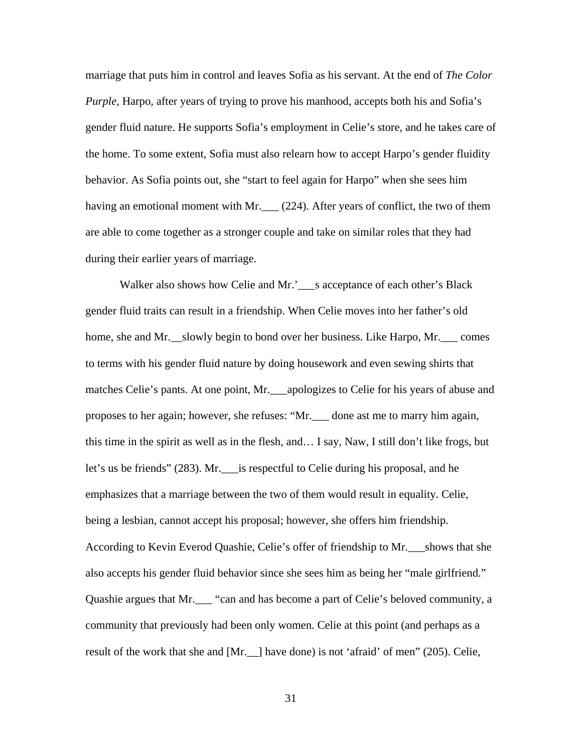marriage that puts him in control and leaves Sofia as his servant. At the end of *The Color Purple*, Harpo, after years of trying to prove his manhood, accepts both his and Sofia's gender fluid nature. He supports Sofia's employment in Celie's store, and he takes care of the home. To some extent, Sofia must also relearn how to accept Harpo's gender fluidity behavior. As Sofia points out, she "start to feel again for Harpo" when she sees him having an emotional moment with Mr.  $\frac{224}{1}$ . After years of conflict, the two of them are able to come together as a stronger couple and take on similar roles that they had during their earlier years of marriage.

Walker also shows how Celie and Mr.'\_\_\_s acceptance of each other's Black gender fluid traits can result in a friendship. When Celie moves into her father's old home, she and Mr. slowly begin to bond over her business. Like Harpo, Mr. comes to terms with his gender fluid nature by doing housework and even sewing shirts that matches Celie's pants. At one point, Mr. \_\_\_apologizes to Celie for his years of abuse and proposes to her again; however, she refuses: "Mr.\_\_\_ done ast me to marry him again, this time in the spirit as well as in the flesh, and… I say, Naw, I still don't like frogs, but let's us be friends" (283). Mr.\_\_\_is respectful to Celie during his proposal, and he emphasizes that a marriage between the two of them would result in equality. Celie, being a lesbian, cannot accept his proposal; however, she offers him friendship. According to Kevin Everod Quashie, Celie's offer of friendship to Mr.\_\_\_shows that she also accepts his gender fluid behavior since she sees him as being her "male girlfriend." Quashie argues that Mr.\_\_\_ "can and has become a part of Celie's beloved community, a community that previously had been only women. Celie at this point (and perhaps as a result of the work that she and [Mr.\_\_] have done) is not 'afraid' of men" (205). Celie,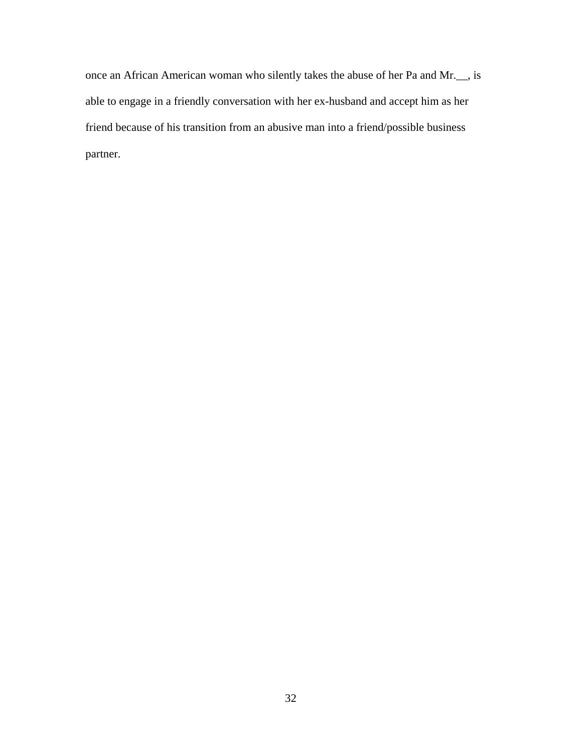once an African American woman who silently takes the abuse of her Pa and Mr.\_\_, is able to engage in a friendly conversation with her ex-husband and accept him as her friend because of his transition from an abusive man into a friend/possible business partner.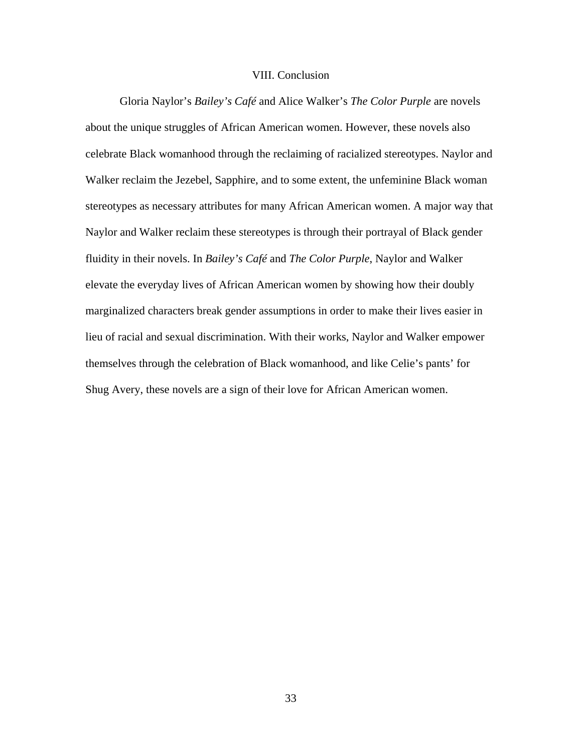### VIII. Conclusion

Gloria Naylor's *Bailey's Café* and Alice Walker's *The Color Purple* are novels about the unique struggles of African American women. However, these novels also celebrate Black womanhood through the reclaiming of racialized stereotypes. Naylor and Walker reclaim the Jezebel, Sapphire, and to some extent, the unfeminine Black woman stereotypes as necessary attributes for many African American women. A major way that Naylor and Walker reclaim these stereotypes is through their portrayal of Black gender fluidity in their novels. In *Bailey's Café* and *The Color Purple*, Naylor and Walker elevate the everyday lives of African American women by showing how their doubly marginalized characters break gender assumptions in order to make their lives easier in lieu of racial and sexual discrimination. With their works, Naylor and Walker empower themselves through the celebration of Black womanhood, and like Celie's pants' for Shug Avery, these novels are a sign of their love for African American women.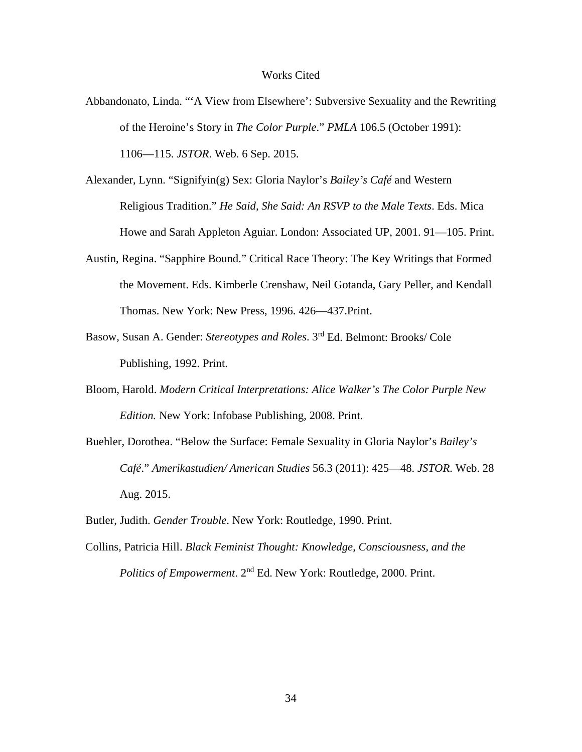### Works Cited

- Abbandonato, Linda. "'A View from Elsewhere': Subversive Sexuality and the Rewriting of the Heroine's Story in *The Color Purple*." *PMLA* 106.5 (October 1991): 1106—115. *JSTOR*. Web. 6 Sep. 2015.
- Alexander, Lynn. "Signifyin(g) Sex: Gloria Naylor's *Bailey's Café* and Western Religious Tradition." *He Said, She Said: An RSVP to the Male Texts*. Eds. Mica Howe and Sarah Appleton Aguiar. London: Associated UP, 2001. 91—105. Print.
- Austin, Regina. "Sapphire Bound." Critical Race Theory: The Key Writings that Formed the Movement. Eds. Kimberle Crenshaw, Neil Gotanda, Gary Peller, and Kendall Thomas. New York: New Press, 1996. 426—437.Print.
- Basow, Susan A. Gender: *Stereotypes and Roles*. 3rd Ed. Belmont: Brooks/ Cole Publishing, 1992. Print.
- Bloom, Harold. *Modern Critical Interpretations: Alice Walker's The Color Purple New Edition.* New York: Infobase Publishing, 2008. Print.
- Buehler, Dorothea. "Below the Surface: Female Sexuality in Gloria Naylor's *Bailey's Café*." *Amerikastudien/ American Studies* 56.3 (2011): 425—48. *JSTOR*. Web. 28 Aug. 2015.
- Butler, Judith. *Gender Trouble*. New York: Routledge, 1990. Print.
- Collins, Patricia Hill. *Black Feminist Thought: Knowledge, Consciousness, and the Politics of Empowerment*. 2nd Ed. New York: Routledge, 2000. Print.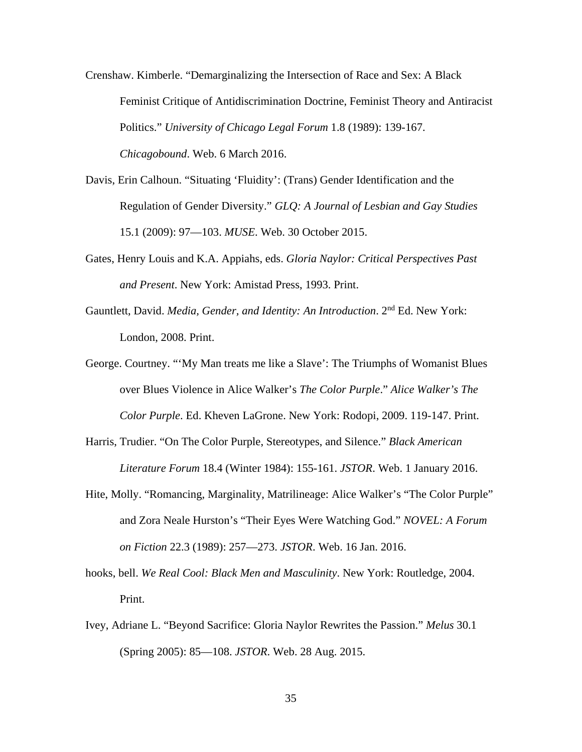Crenshaw. Kimberle. "Demarginalizing the Intersection of Race and Sex: A Black Feminist Critique of Antidiscrimination Doctrine, Feminist Theory and Antiracist Politics." *University of Chicago Legal Forum* 1.8 (1989): 139-167. *Chicagobound*. Web. 6 March 2016.

- Davis, Erin Calhoun. "Situating 'Fluidity': (Trans) Gender Identification and the Regulation of Gender Diversity." *GLQ: A Journal of Lesbian and Gay Studies* 15.1 (2009): 97—103. *MUSE*. Web. 30 October 2015.
- Gates, Henry Louis and K.A. Appiahs, eds. *Gloria Naylor: Critical Perspectives Past and Present*. New York: Amistad Press, 1993. Print.
- Gauntlett, David. *Media, Gender, and Identity: An Introduction*. 2nd Ed. New York: London, 2008. Print.
- George. Courtney. "'My Man treats me like a Slave': The Triumphs of Womanist Blues over Blues Violence in Alice Walker's *The Color Purple*." *Alice Walker's The Color Purple*. Ed. Kheven LaGrone. New York: Rodopi, 2009. 119-147. Print.
- Harris, Trudier. "On The Color Purple, Stereotypes, and Silence." *Black American Literature Forum* 18.4 (Winter 1984): 155-161. *JSTOR*. Web. 1 January 2016.
- Hite, Molly. "Romancing, Marginality, Matrilineage: Alice Walker's "The Color Purple" and Zora Neale Hurston's "Their Eyes Were Watching God." *NOVEL: A Forum on Fiction* 22.3 (1989): 257—273. *JSTOR*. Web. 16 Jan. 2016.
- hooks, bell. *We Real Cool: Black Men and Masculinity*. New York: Routledge, 2004. Print.
- Ivey, Adriane L. "Beyond Sacrifice: Gloria Naylor Rewrites the Passion." *Melus* 30.1 (Spring 2005): 85—108. *JSTOR*. Web. 28 Aug. 2015.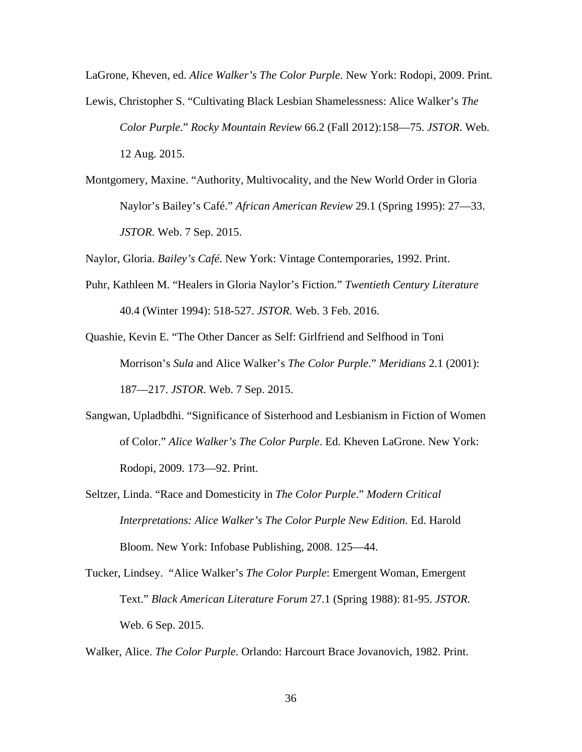LaGrone, Kheven, ed. *Alice Walker's The Color Purple*. New York: Rodopi, 2009. Print.

- Lewis, Christopher S. "Cultivating Black Lesbian Shamelessness: Alice Walker's *The Color Purple*." *Rocky Mountain Review* 66.2 (Fall 2012):158—75. *JSTOR*. Web. 12 Aug. 2015.
- Montgomery, Maxine. "Authority, Multivocality, and the New World Order in Gloria Naylor's Bailey's Café." *African American Review* 29.1 (Spring 1995): 27—33. *JSTOR*. Web. 7 Sep. 2015.

Naylor, Gloria. *Bailey's Café*. New York: Vintage Contemporaries, 1992. Print.

- Puhr, Kathleen M. "Healers in Gloria Naylor's Fiction." *Twentieth Century Literature* 40.4 (Winter 1994): 518-527. *JSTOR*. Web. 3 Feb. 2016.
- Quashie, Kevin E. "The Other Dancer as Self: Girlfriend and Selfhood in Toni Morrison's *Sula* and Alice Walker's *The Color Purple*." *Meridians* 2.1 (2001): 187—217. *JSTOR*. Web. 7 Sep. 2015.
- Sangwan, Upladbdhi. "Significance of Sisterhood and Lesbianism in Fiction of Women of Color." *Alice Walker's The Color Purple*. Ed. Kheven LaGrone. New York: Rodopi, 2009. 173—92. Print.
- Seltzer, Linda. "Race and Domesticity in *The Color Purple*." *Modern Critical Interpretations: Alice Walker's The Color Purple New Edition*. Ed. Harold Bloom. New York: Infobase Publishing, 2008. 125—44.
- Tucker, Lindsey. "Alice Walker's *The Color Purple*: Emergent Woman, Emergent Text." *Black American Literature Forum* 27.1 (Spring 1988): 81-95. *JSTOR*. Web. 6 Sep. 2015.

Walker, Alice. *The Color Purple*. Orlando: Harcourt Brace Jovanovich, 1982. Print.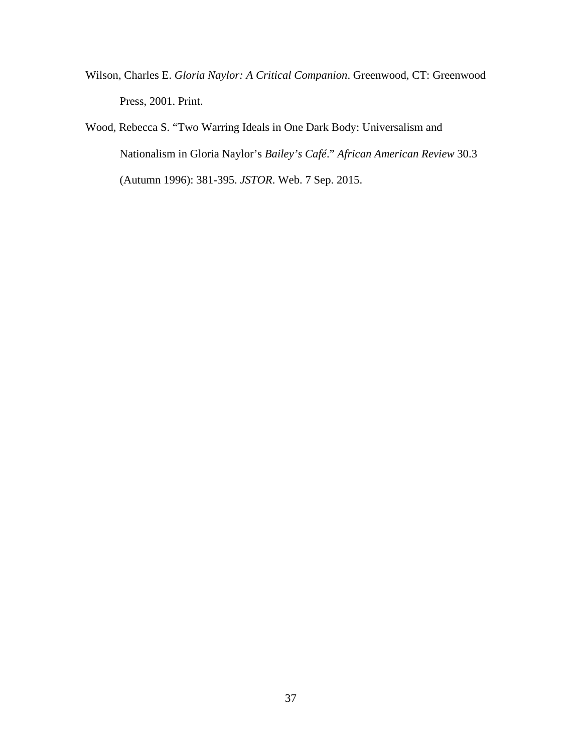- Wilson, Charles E. *Gloria Naylor: A Critical Companion*. Greenwood, CT: Greenwood Press, 2001. Print.
- Wood, Rebecca S. "Two Warring Ideals in One Dark Body: Universalism and Nationalism in Gloria Naylor's *Bailey's Café*." *African American Review* 30.3 (Autumn 1996): 381-395. *JSTOR*. Web. 7 Sep. 2015.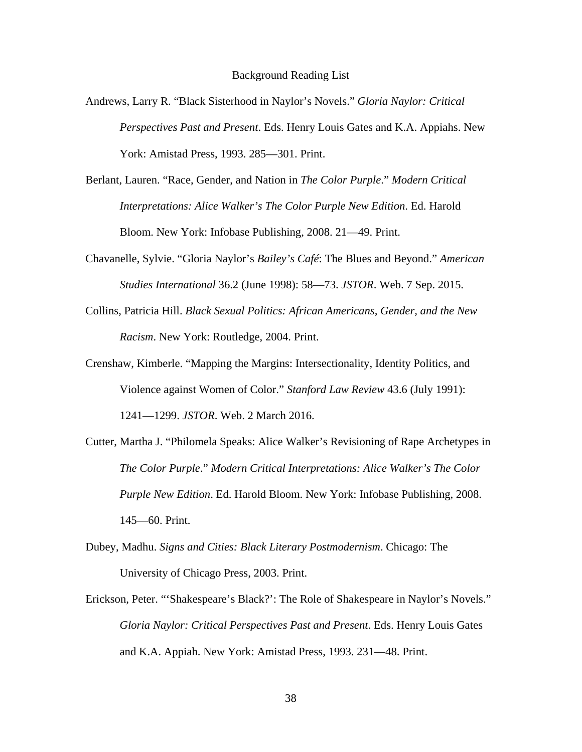- Andrews, Larry R. "Black Sisterhood in Naylor's Novels." *Gloria Naylor: Critical Perspectives Past and Present*. Eds. Henry Louis Gates and K.A. Appiahs. New York: Amistad Press, 1993. 285—301. Print.
- Berlant, Lauren. "Race, Gender, and Nation in *The Color Purple*." *Modern Critical Interpretations: Alice Walker's The Color Purple New Edition*. Ed. Harold Bloom. New York: Infobase Publishing, 2008. 21—49. Print.
- Chavanelle, Sylvie. "Gloria Naylor's *Bailey's Café*: The Blues and Beyond." *American Studies International* 36.2 (June 1998): 58—73. *JSTOR*. Web. 7 Sep. 2015.
- Collins, Patricia Hill. *Black Sexual Politics: African Americans, Gender, and the New Racism*. New York: Routledge, 2004. Print.
- Crenshaw, Kimberle. "Mapping the Margins: Intersectionality, Identity Politics, and Violence against Women of Color." *Stanford Law Review* 43.6 (July 1991): 1241—1299. *JSTOR*. Web. 2 March 2016.
- Cutter, Martha J. "Philomela Speaks: Alice Walker's Revisioning of Rape Archetypes in *The Color Purple*." *Modern Critical Interpretations: Alice Walker's The Color Purple New Edition*. Ed. Harold Bloom. New York: Infobase Publishing, 2008. 145—60. Print.
- Dubey, Madhu. *Signs and Cities: Black Literary Postmodernism*. Chicago: The University of Chicago Press, 2003. Print.
- Erickson, Peter. "'Shakespeare's Black?': The Role of Shakespeare in Naylor's Novels." *Gloria Naylor: Critical Perspectives Past and Present*. Eds. Henry Louis Gates and K.A. Appiah. New York: Amistad Press, 1993. 231—48. Print.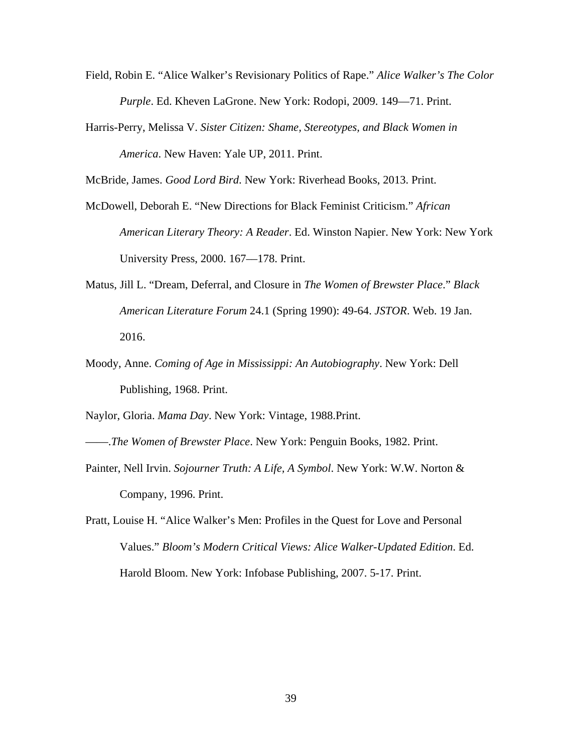- Field, Robin E. "Alice Walker's Revisionary Politics of Rape." *Alice Walker's The Color Purple*. Ed. Kheven LaGrone. New York: Rodopi, 2009. 149—71. Print.
- Harris-Perry, Melissa V. *Sister Citizen: Shame, Stereotypes, and Black Women in America*. New Haven: Yale UP, 2011. Print.

McBride, James. *Good Lord Bird*. New York: Riverhead Books, 2013. Print.

- McDowell, Deborah E. "New Directions for Black Feminist Criticism." *African American Literary Theory: A Reader*. Ed. Winston Napier. New York: New York University Press, 2000. 167––178. Print.
- Matus, Jill L. "Dream, Deferral, and Closure in *The Women of Brewster Place*." *Black American Literature Forum* 24.1 (Spring 1990): 49-64. *JSTOR*. Web. 19 Jan. 2016.
- Moody, Anne. *Coming of Age in Mississippi: An Autobiography*. New York: Dell Publishing, 1968. Print.

Naylor, Gloria. *Mama Day*. New York: Vintage, 1988.Print.

——.*The Women of Brewster Place*. New York: Penguin Books, 1982. Print.

- Painter, Nell Irvin. *Sojourner Truth: A Life, A Symbol*. New York: W.W. Norton & Company, 1996. Print.
- Pratt, Louise H. "Alice Walker's Men: Profiles in the Quest for Love and Personal Values." *Bloom's Modern Critical Views: Alice Walker-Updated Edition*. Ed. Harold Bloom. New York: Infobase Publishing, 2007. 5-17. Print.